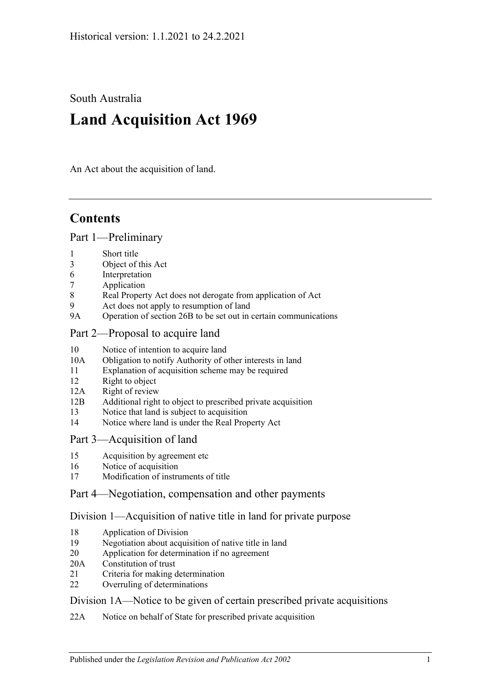South Australia

# **Land Acquisition Act 1969**

An Act about the acquisition of land.

# **Contents**

[Part 1—Preliminary](#page-2-0)

- 1 [Short title](#page-2-1)
- 3 [Object of this Act](#page-2-2)
- 6 [Interpretation](#page-2-3)
- 7 [Application](#page-3-0)
- 8 [Real Property Act does not derogate from application of Act](#page-4-0)
- 9 [Act does not apply to resumption of land](#page-4-1)
- 9A [Operation of section 26B to be set out in certain communications](#page-4-2)
- [Part 2—Proposal to acquire land](#page-4-3)
- 10 [Notice of intention to acquire land](#page-4-4)
- 10A Obligation to notify [Authority of other interests in land](#page-6-0)
- 11 [Explanation of acquisition scheme may be required](#page-6-1)
- 12 [Right to object](#page-6-2)
- 12A [Right of review](#page-7-0)
- 12B [Additional right to object to prescribed private acquisition](#page-8-0)
- 13 [Notice that land is subject to acquisition](#page-9-0)
- 14 [Notice where land is under the Real Property Act](#page-9-1)

### [Part 3—Acquisition of land](#page-10-0)

- 15 [Acquisition by agreement etc](#page-10-1)
- 16 [Notice of acquisition](#page-11-0)
- 17 [Modification of instruments of title](#page-12-0)

## [Part 4—Negotiation, compensation and other payments](#page-12-1)

### [Division 1—Acquisition of native title in land for private purpose](#page-12-2)

- 18 [Application of Division](#page-12-3)
- 19 [Negotiation about acquisition of native title in land](#page-13-0)
- 20 [Application for determination if no agreement](#page-13-1)
- 20A [Constitution of trust](#page-14-0)
- 21 [Criteria for making determination](#page-15-0)
- 22 [Overruling of determinations](#page-16-0)

### [Division 1A—Notice to be given of certain prescribed private acquisitions](#page-16-1)

22A [Notice on behalf of State for prescribed private acquisition](#page-16-2)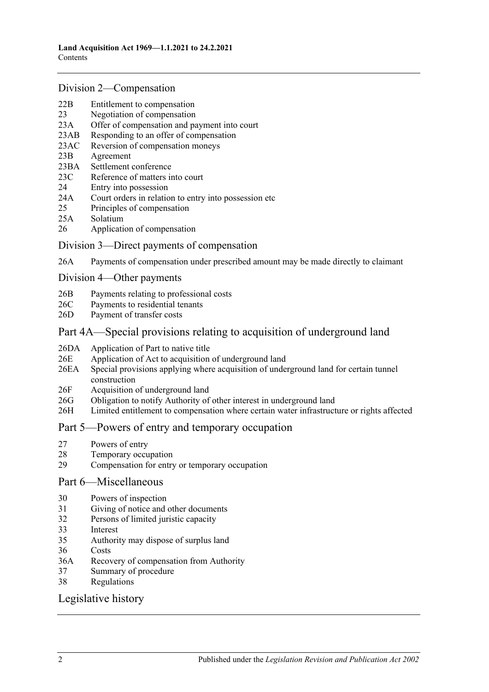#### [Division 2—Compensation](#page-16-3)

- 22B [Entitlement to compensation](#page-16-4)
- 23 [Negotiation of compensation](#page-16-5)
- 23A [Offer of compensation and payment into court](#page-17-0)
- 23AB [Responding to an offer of compensation](#page-18-0)
- 23AC [Reversion of compensation moneys](#page-19-0)
- 23B [Agreement](#page-20-0)
- 23BA [Settlement conference](#page-20-1)
- 23C [Reference of matters into court](#page-21-0)
- 24 [Entry into possession](#page-22-0)
- 24A [Court orders in relation to entry into possession etc](#page-23-0)
- 25 [Principles of compensation](#page-23-1)
- 25A [Solatium](#page-25-0)
- 26 [Application of compensation](#page-25-1)

#### [Division 3—Direct payments of compensation](#page-26-0)

26A [Payments of compensation under prescribed amount may be made directly to claimant](#page-26-1)

#### [Division 4—Other payments](#page-26-2)

- 26B [Payments relating to professional costs](#page-26-3)
- 26C [Payments to residential tenants](#page-26-4)
- 26D [Payment of transfer costs](#page-27-0)

### Part [4A—Special provisions relating to acquisition of underground land](#page-27-1)

- 26DA [Application of Part to native title](#page-27-2)
- 26E [Application of Act to acquisition of underground land](#page-28-0)
- 26EA [Special provisions applying where acquisition of underground land for certain tunnel](#page-28-1)  [construction](#page-28-1)
- 26F [Acquisition of underground land](#page-28-2)
- 26G [Obligation to notify Authority of other interest in underground land](#page-29-0)
- 26H [Limited entitlement to compensation where certain water infrastructure or rights affected](#page-29-1)

### [Part 5—Powers of entry and temporary occupation](#page-31-0)

- 27 [Powers of entry](#page-31-1)
- 28 [Temporary occupation](#page-31-2)
- 29 [Compensation for entry or temporary occupation](#page-32-0)

### [Part 6—Miscellaneous](#page-33-0)

- 30 [Powers of inspection](#page-33-1)
- 31 [Giving of notice and other documents](#page-33-2)
- 32 [Persons of limited juristic capacity](#page-33-3)
- 33 [Interest](#page-33-4)
- 35 [Authority may dispose of surplus land](#page-34-0)
- 36 [Costs](#page-34-1)
- 36A [Recovery of compensation from Authority](#page-34-2)
- 37 [Summary of procedure](#page-34-3)
- 38 [Regulations](#page-34-4)

### [Legislative history](#page-35-0)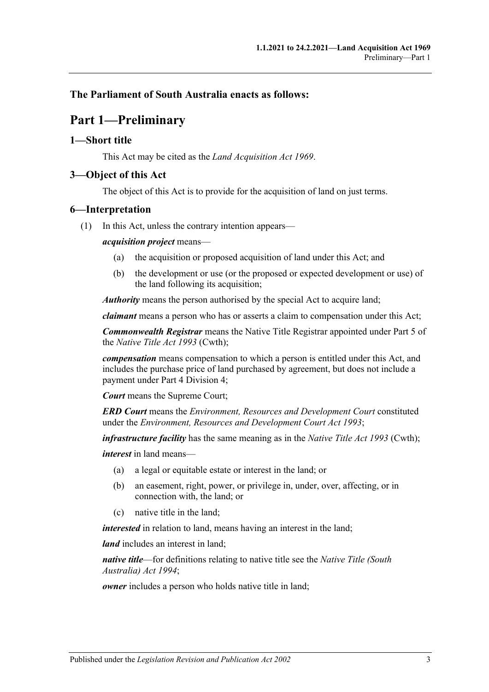## <span id="page-2-0"></span>**The Parliament of South Australia enacts as follows:**

# **Part 1—Preliminary**

#### <span id="page-2-1"></span>**1—Short title**

This Act may be cited as the *Land Acquisition Act 1969*.

### <span id="page-2-2"></span>**3—Object of this Act**

The object of this Act is to provide for the acquisition of land on just terms.

### <span id="page-2-3"></span>**6—Interpretation**

(1) In this Act, unless the contrary intention appears—

#### *acquisition project* means—

- (a) the acquisition or proposed acquisition of land under this Act; and
- (b) the development or use (or the proposed or expected development or use) of the land following its acquisition;

*Authority* means the person authorised by the special Act to acquire land;

*claimant* means a person who has or asserts a claim to compensation under this Act;

*Commonwealth Registrar* means the Native Title Registrar appointed under Part 5 of the *Native Title Act 1993* (Cwth);

*compensation* means compensation to which a person is entitled under this Act, and includes the purchase price of land purchased by agreement, but does not include a payment under [Part 4 Division 4;](#page-26-2)

*Court* means the Supreme Court;

*ERD Court* means the *Environment, Resources and Development Court* constituted under the *[Environment, Resources and Development Court Act](http://www.legislation.sa.gov.au/index.aspx?action=legref&type=act&legtitle=Environment%20Resources%20and%20Development%20Court%20Act%201993) 1993*;

*infrastructure facility* has the same meaning as in the *Native Title Act 1993* (Cwth);

*interest* in land means—

- (a) a legal or equitable estate or interest in the land; or
- (b) an easement, right, power, or privilege in, under, over, affecting, or in connection with, the land; or
- (c) native title in the land;

*interested* in relation to land, means having an interest in the land;

*land* includes an interest in land;

*native title*—for definitions relating to native title see the *[Native Title \(South](http://www.legislation.sa.gov.au/index.aspx?action=legref&type=act&legtitle=Native%20Title%20(South%20Australia)%20Act%201994)  [Australia\) Act](http://www.legislation.sa.gov.au/index.aspx?action=legref&type=act&legtitle=Native%20Title%20(South%20Australia)%20Act%201994) 1994*;

*owner* includes a person who holds native title in land;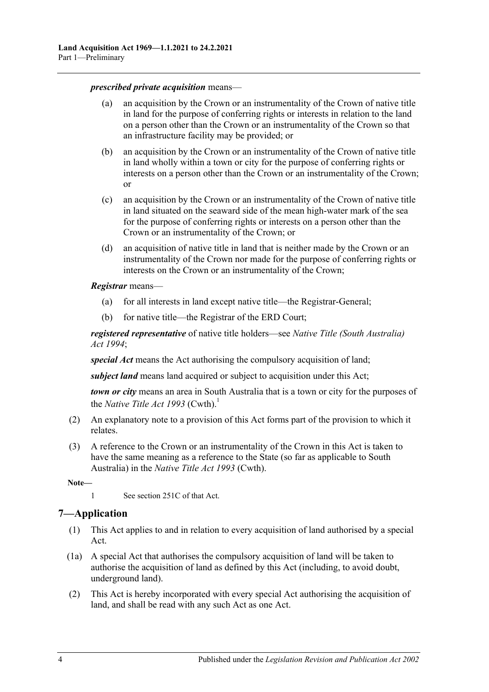*prescribed private acquisition* means—

- (a) an acquisition by the Crown or an instrumentality of the Crown of native title in land for the purpose of conferring rights or interests in relation to the land on a person other than the Crown or an instrumentality of the Crown so that an infrastructure facility may be provided; or
- (b) an acquisition by the Crown or an instrumentality of the Crown of native title in land wholly within a town or city for the purpose of conferring rights or interests on a person other than the Crown or an instrumentality of the Crown; or
- (c) an acquisition by the Crown or an instrumentality of the Crown of native title in land situated on the seaward side of the mean high-water mark of the sea for the purpose of conferring rights or interests on a person other than the Crown or an instrumentality of the Crown; or
- (d) an acquisition of native title in land that is neither made by the Crown or an instrumentality of the Crown nor made for the purpose of conferring rights or interests on the Crown or an instrumentality of the Crown;

#### *Registrar* means—

- (a) for all interests in land except native title—the Registrar-General;
- (b) for native title—the Registrar of the ERD Court;

*registered representative* of native title holders—see *[Native Title \(South Australia\)](http://www.legislation.sa.gov.au/index.aspx?action=legref&type=act&legtitle=Native%20Title%20(South%20Australia)%20Act%201994)  Act [1994](http://www.legislation.sa.gov.au/index.aspx?action=legref&type=act&legtitle=Native%20Title%20(South%20Australia)%20Act%201994)*;

*special Act* means the Act authorising the compulsory acquisition of land;

*subject land* means land acquired or subject to acquisition under this Act;

*town or city* means an area in South Australia that is a town or city for the purposes of the *Native Title Act* 1993 (Cwth).<sup>1</sup>

- (2) An explanatory note to a provision of this Act forms part of the provision to which it relates.
- (3) A reference to the Crown or an instrumentality of the Crown in this Act is taken to have the same meaning as a reference to the State (so far as applicable to South Australia) in the *Native Title Act 1993* (Cwth).

**Note—**

1 See section 251C of that Act.

## <span id="page-3-0"></span>**7—Application**

- (1) This Act applies to and in relation to every acquisition of land authorised by a special Act.
- (1a) A special Act that authorises the compulsory acquisition of land will be taken to authorise the acquisition of land as defined by this Act (including, to avoid doubt, underground land).
- (2) This Act is hereby incorporated with every special Act authorising the acquisition of land, and shall be read with any such Act as one Act.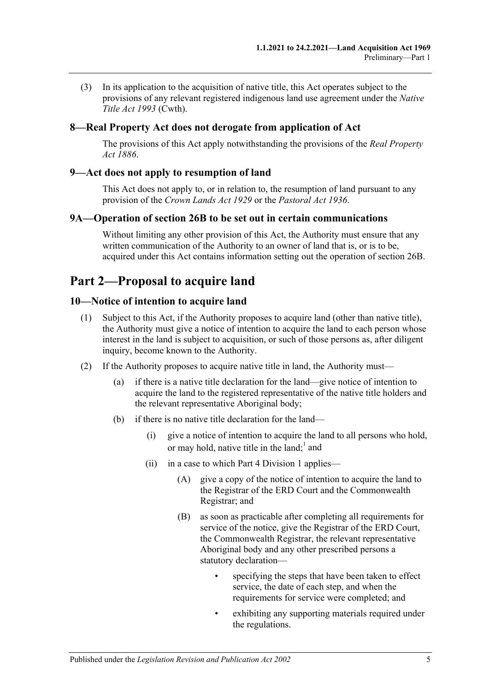(3) In its application to the acquisition of native title, this Act operates subject to the provisions of any relevant registered indigenous land use agreement under the *Native Title Act 1993* (Cwth).

## <span id="page-4-0"></span>**8—Real Property Act does not derogate from application of Act**

The provisions of this Act apply notwithstanding the provisions of the *[Real Property](http://www.legislation.sa.gov.au/index.aspx?action=legref&type=act&legtitle=Real%20Property%20Act%201886)  Act [1886](http://www.legislation.sa.gov.au/index.aspx?action=legref&type=act&legtitle=Real%20Property%20Act%201886)*.

### <span id="page-4-1"></span>**9—Act does not apply to resumption of land**

This Act does not apply to, or in relation to, the resumption of land pursuant to any provision of the *[Crown Lands Act](http://www.legislation.sa.gov.au/index.aspx?action=legref&type=act&legtitle=Crown%20Lands%20Act%201929) 1929* or the *[Pastoral Act](http://www.legislation.sa.gov.au/index.aspx?action=legref&type=act&legtitle=Pastoral%20Act%201936) 1936*.

#### <span id="page-4-2"></span>**9A—Operation of section 26B to be set out in certain communications**

Without limiting any other provision of this Act, the Authority must ensure that any written communication of the Authority to an owner of land that is, or is to be, acquired under this Act contains information setting out the operation of [section](#page-26-3) 26B.

# <span id="page-4-3"></span>**Part 2—Proposal to acquire land**

### <span id="page-4-4"></span>**10—Notice of intention to acquire land**

- (1) Subject to this Act, if the Authority proposes to acquire land (other than native title), the Authority must give a notice of intention to acquire the land to each person whose interest in the land is subject to acquisition, or such of those persons as, after diligent inquiry, become known to the Authority.
- <span id="page-4-5"></span>(2) If the Authority proposes to acquire native title in land, the Authority must—
	- (a) if there is a native title declaration for the land—give notice of intention to acquire the land to the registered representative of the native title holders and the relevant representative Aboriginal body;
	- (b) if there is no native title declaration for the land—
		- (i) give a notice of intention to acquire the land to all persons who hold, or may hold, native title in the land;<sup>1</sup> and
		- (ii) in a case to which [Part 4 Division 1](#page-12-2) applies—
			- (A) give a copy of the notice of intention to acquire the land to the Registrar of the ERD Court and the Commonwealth Registrar; and
			- (B) as soon as practicable after completing all requirements for service of the notice, give the Registrar of the ERD Court, the Commonwealth Registrar, the relevant representative Aboriginal body and any other prescribed persons a statutory declaration
				- specifying the steps that have been taken to effect service, the date of each step, and when the requirements for service were completed; and
				- exhibiting any supporting materials required under the regulations.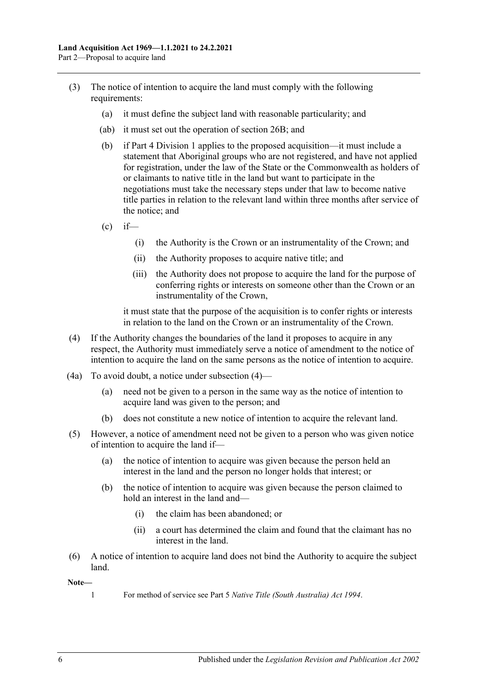- (3) The notice of intention to acquire the land must comply with the following requirements:
	- (a) it must define the subject land with reasonable particularity; and
	- (ab) it must set out the operation of section 26B; and
	- (b) if [Part 4 Division 1](#page-12-2) applies to the proposed acquisition—it must include a statement that Aboriginal groups who are not registered, and have not applied for registration, under the law of the State or the Commonwealth as holders of or claimants to native title in the land but want to participate in the negotiations must take the necessary steps under that law to become native title parties in relation to the relevant land within three months after service of the notice; and
	- $\text{(c)}$  if—
		- (i) the Authority is the Crown or an instrumentality of the Crown; and
		- (ii) the Authority proposes to acquire native title; and
		- (iii) the Authority does not propose to acquire the land for the purpose of conferring rights or interests on someone other than the Crown or an instrumentality of the Crown,

it must state that the purpose of the acquisition is to confer rights or interests in relation to the land on the Crown or an instrumentality of the Crown.

- <span id="page-5-0"></span>(4) If the Authority changes the boundaries of the land it proposes to acquire in any respect, the Authority must immediately serve a notice of amendment to the notice of intention to acquire the land on the same persons as the notice of intention to acquire.
- (4a) To avoid doubt, a notice under [subsection](#page-5-0) (4)—
	- (a) need not be given to a person in the same way as the notice of intention to acquire land was given to the person; and
	- (b) does not constitute a new notice of intention to acquire the relevant land.
- (5) However, a notice of amendment need not be given to a person who was given notice of intention to acquire the land if—
	- (a) the notice of intention to acquire was given because the person held an interest in the land and the person no longer holds that interest; or
	- (b) the notice of intention to acquire was given because the person claimed to hold an interest in the land and—
		- (i) the claim has been abandoned; or
		- (ii) a court has determined the claim and found that the claimant has no interest in the land.
- (6) A notice of intention to acquire land does not bind the Authority to acquire the subject land.

#### **Note—**

1 For method of service see Part 5 *[Native Title \(South Australia\) Act](http://www.legislation.sa.gov.au/index.aspx?action=legref&type=act&legtitle=Native%20Title%20(South%20Australia)%20Act%201994) 1994*.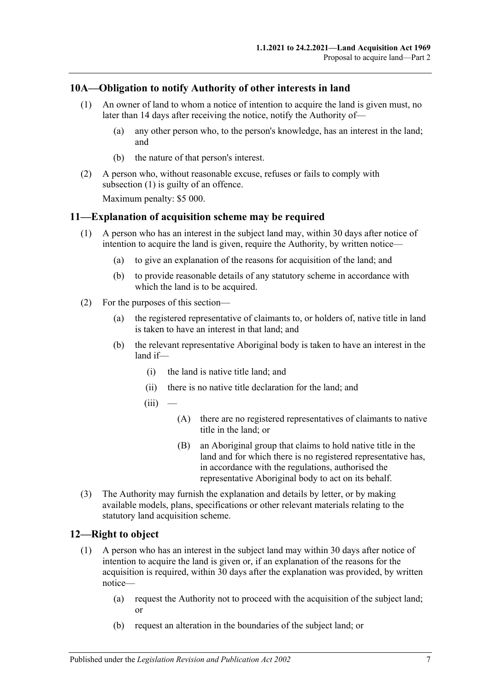## <span id="page-6-3"></span><span id="page-6-0"></span>**10A—Obligation to notify Authority of other interests in land**

- (1) An owner of land to whom a notice of intention to acquire the land is given must, no later than 14 days after receiving the notice, notify the Authority of—
	- (a) any other person who, to the person's knowledge, has an interest in the land; and
	- (b) the nature of that person's interest.
- (2) A person who, without reasonable excuse, refuses or fails to comply with [subsection](#page-6-3) (1) is guilty of an offence.

Maximum penalty: \$5 000.

#### <span id="page-6-1"></span>**11—Explanation of acquisition scheme may be required**

- (1) A person who has an interest in the subject land may, within 30 days after notice of intention to acquire the land is given, require the Authority, by written notice—
	- (a) to give an explanation of the reasons for acquisition of the land; and
	- (b) to provide reasonable details of any statutory scheme in accordance with which the land is to be acquired.
- (2) For the purposes of this section—
	- (a) the registered representative of claimants to, or holders of, native title in land is taken to have an interest in that land; and
	- (b) the relevant representative Aboriginal body is taken to have an interest in the land if—
		- (i) the land is native title land; and
		- (ii) there is no native title declaration for the land; and
		- $(iii)$ 
			- (A) there are no registered representatives of claimants to native title in the land; or
			- (B) an Aboriginal group that claims to hold native title in the land and for which there is no registered representative has, in accordance with the regulations, authorised the representative Aboriginal body to act on its behalf.
- (3) The Authority may furnish the explanation and details by letter, or by making available models, plans, specifications or other relevant materials relating to the statutory land acquisition scheme.

### <span id="page-6-4"></span><span id="page-6-2"></span>**12—Right to object**

- (1) A person who has an interest in the subject land may within 30 days after notice of intention to acquire the land is given or, if an explanation of the reasons for the acquisition is required, within 30 days after the explanation was provided, by written notice—
	- (a) request the Authority not to proceed with the acquisition of the subject land; or
	- (b) request an alteration in the boundaries of the subject land; or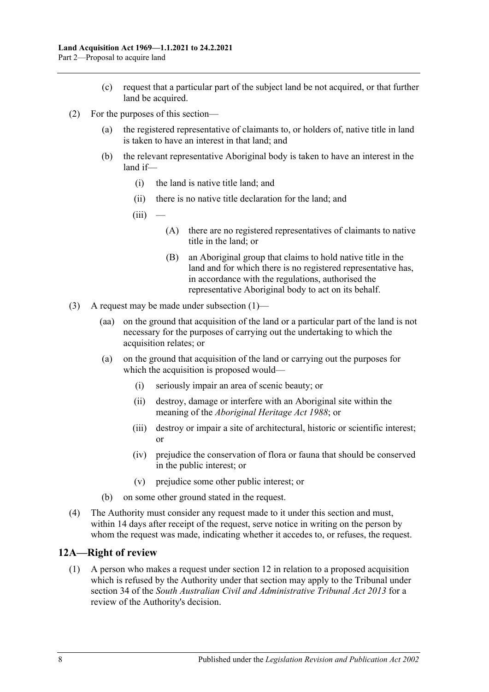- (c) request that a particular part of the subject land be not acquired, or that further land be acquired.
- (2) For the purposes of this section—
	- (a) the registered representative of claimants to, or holders of, native title in land is taken to have an interest in that land; and
	- (b) the relevant representative Aboriginal body is taken to have an interest in the land if—
		- (i) the land is native title land; and
		- (ii) there is no native title declaration for the land; and
		- $(iii)$
- (A) there are no registered representatives of claimants to native title in the land; or
- (B) an Aboriginal group that claims to hold native title in the land and for which there is no registered representative has, in accordance with the regulations, authorised the representative Aboriginal body to act on its behalf.
- (3) A request may be made under [subsection](#page-6-4)  $(1)$ 
	- (aa) on the ground that acquisition of the land or a particular part of the land is not necessary for the purposes of carrying out the undertaking to which the acquisition relates; or
	- (a) on the ground that acquisition of the land or carrying out the purposes for which the acquisition is proposed would—
		- (i) seriously impair an area of scenic beauty; or
		- (ii) destroy, damage or interfere with an Aboriginal site within the meaning of the *[Aboriginal Heritage Act](http://www.legislation.sa.gov.au/index.aspx?action=legref&type=act&legtitle=Aboriginal%20Heritage%20Act%201988) 1988*; or
		- (iii) destroy or impair a site of architectural, historic or scientific interest; or
		- (iv) prejudice the conservation of flora or fauna that should be conserved in the public interest; or
		- (v) prejudice some other public interest; or
	- (b) on some other ground stated in the request.
- (4) The Authority must consider any request made to it under this section and must, within 14 days after receipt of the request, serve notice in writing on the person by whom the request was made, indicating whether it accedes to, or refuses, the request.

### <span id="page-7-1"></span><span id="page-7-0"></span>**12A—Right of review**

(1) A person who makes a request under [section](#page-6-2) 12 in relation to a proposed acquisition which is refused by the Authority under that section may apply to the Tribunal under section 34 of the *[South Australian Civil and Administrative Tribunal Act](http://www.legislation.sa.gov.au/index.aspx?action=legref&type=act&legtitle=South%20Australian%20Civil%20and%20Administrative%20Tribunal%20Act%202013) 2013* for a review of the Authority's decision.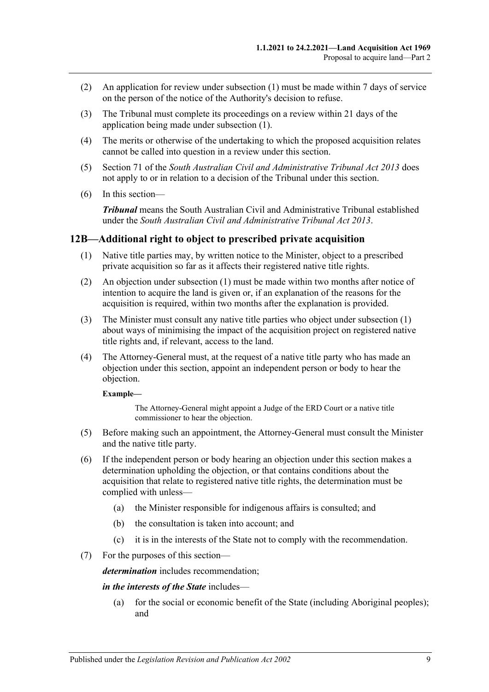- (2) An application for review under [subsection](#page-7-1) (1) must be made within 7 days of service on the person of the notice of the Authority's decision to refuse.
- (3) The Tribunal must complete its proceedings on a review within 21 days of the application being made under [subsection](#page-7-1) (1).
- (4) The merits or otherwise of the undertaking to which the proposed acquisition relates cannot be called into question in a review under this section.
- (5) Section 71 of the *[South Australian Civil and Administrative Tribunal Act](http://www.legislation.sa.gov.au/index.aspx?action=legref&type=act&legtitle=South%20Australian%20Civil%20and%20Administrative%20Tribunal%20Act%202013) 2013* does not apply to or in relation to a decision of the Tribunal under this section.
- (6) In this section—

*Tribunal* means the South Australian Civil and Administrative Tribunal established under the *[South Australian Civil and Administrative Tribunal Act](http://www.legislation.sa.gov.au/index.aspx?action=legref&type=act&legtitle=South%20Australian%20Civil%20and%20Administrative%20Tribunal%20Act%202013) 2013*.

#### <span id="page-8-1"></span><span id="page-8-0"></span>**12B—Additional right to object to prescribed private acquisition**

- (1) Native title parties may, by written notice to the Minister, object to a prescribed private acquisition so far as it affects their registered native title rights.
- (2) An objection under [subsection](#page-8-1) (1) must be made within two months after notice of intention to acquire the land is given or, if an explanation of the reasons for the acquisition is required, within two months after the explanation is provided.
- (3) The Minister must consult any native title parties who object under [subsection](#page-8-1) (1) about ways of minimising the impact of the acquisition project on registered native title rights and, if relevant, access to the land.
- (4) The Attorney-General must, at the request of a native title party who has made an objection under this section, appoint an independent person or body to hear the objection.

#### **Example—**

The Attorney-General might appoint a Judge of the ERD Court or a native title commissioner to hear the objection.

- (5) Before making such an appointment, the Attorney-General must consult the Minister and the native title party.
- (6) If the independent person or body hearing an objection under this section makes a determination upholding the objection, or that contains conditions about the acquisition that relate to registered native title rights, the determination must be complied with unless—
	- (a) the Minister responsible for indigenous affairs is consulted; and
	- (b) the consultation is taken into account; and
	- (c) it is in the interests of the State not to comply with the recommendation.
- (7) For the purposes of this section—

*determination* includes recommendation;

#### *in the interests of the State* includes—

(a) for the social or economic benefit of the State (including Aboriginal peoples); and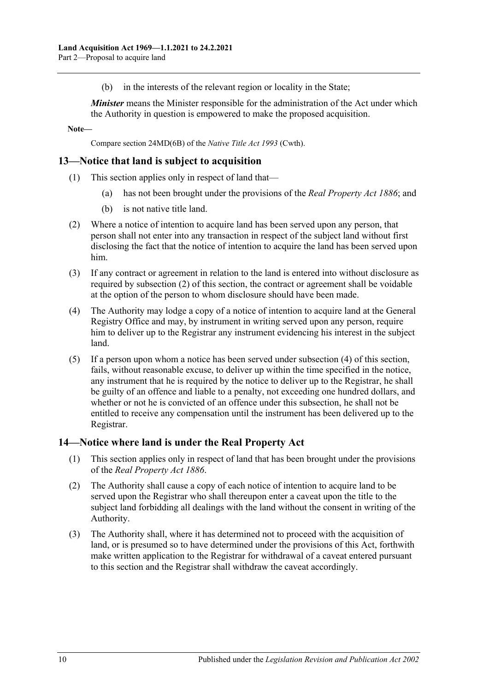(b) in the interests of the relevant region or locality in the State;

*Minister* means the Minister responsible for the administration of the Act under which the Authority in question is empowered to make the proposed acquisition.

**Note—**

Compare section 24MD(6B) of the *Native Title Act 1993* (Cwth).

### <span id="page-9-0"></span>**13—Notice that land is subject to acquisition**

- (1) This section applies only in respect of land that
	- has not been brought under the provisions of the *[Real Property Act](http://www.legislation.sa.gov.au/index.aspx?action=legref&type=act&legtitle=Real%20Property%20Act%201886)* 1886; and
	- (b) is not native title land.
- <span id="page-9-2"></span>(2) Where a notice of intention to acquire land has been served upon any person, that person shall not enter into any transaction in respect of the subject land without first disclosing the fact that the notice of intention to acquire the land has been served upon him.
- (3) If any contract or agreement in relation to the land is entered into without disclosure as required by [subsection](#page-9-2) (2) of this section, the contract or agreement shall be voidable at the option of the person to whom disclosure should have been made.
- <span id="page-9-3"></span>(4) The Authority may lodge a copy of a notice of intention to acquire land at the General Registry Office and may, by instrument in writing served upon any person, require him to deliver up to the Registrar any instrument evidencing his interest in the subject land.
- (5) If a person upon whom a notice has been served under [subsection](#page-9-3) (4) of this section, fails, without reasonable excuse, to deliver up within the time specified in the notice, any instrument that he is required by the notice to deliver up to the Registrar, he shall be guilty of an offence and liable to a penalty, not exceeding one hundred dollars, and whether or not he is convicted of an offence under this subsection, he shall not be entitled to receive any compensation until the instrument has been delivered up to the Registrar.

### <span id="page-9-1"></span>**14—Notice where land is under the Real Property Act**

- (1) This section applies only in respect of land that has been brought under the provisions of the *[Real Property Act](http://www.legislation.sa.gov.au/index.aspx?action=legref&type=act&legtitle=Real%20Property%20Act%201886) 1886*.
- (2) The Authority shall cause a copy of each notice of intention to acquire land to be served upon the Registrar who shall thereupon enter a caveat upon the title to the subject land forbidding all dealings with the land without the consent in writing of the Authority.
- (3) The Authority shall, where it has determined not to proceed with the acquisition of land, or is presumed so to have determined under the provisions of this Act, forthwith make written application to the Registrar for withdrawal of a caveat entered pursuant to this section and the Registrar shall withdraw the caveat accordingly.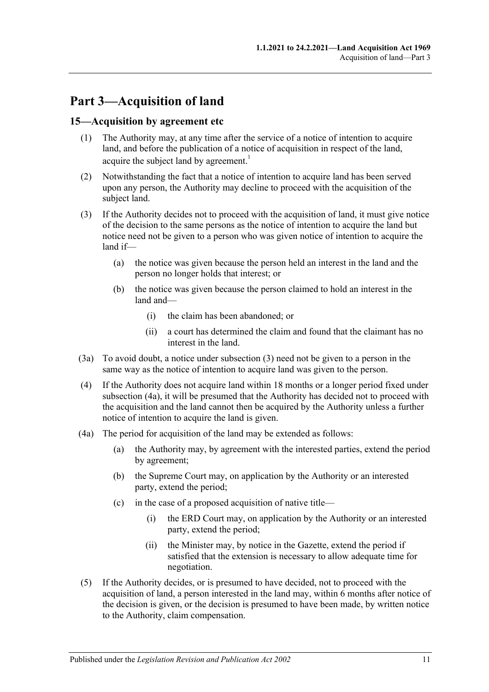# <span id="page-10-0"></span>**Part 3—Acquisition of land**

### <span id="page-10-1"></span>**15—Acquisition by agreement etc**

- (1) The Authority may, at any time after the service of a notice of intention to acquire land, and before the publication of a notice of acquisition in respect of the land, acquire the subject land by agreement.<sup>1</sup>
- (2) Notwithstanding the fact that a notice of intention to acquire land has been served upon any person, the Authority may decline to proceed with the acquisition of the subject land.
- <span id="page-10-2"></span>(3) If the Authority decides not to proceed with the acquisition of land, it must give notice of the decision to the same persons as the notice of intention to acquire the land but notice need not be given to a person who was given notice of intention to acquire the land if—
	- (a) the notice was given because the person held an interest in the land and the person no longer holds that interest; or
	- (b) the notice was given because the person claimed to hold an interest in the land and—
		- (i) the claim has been abandoned; or
		- (ii) a court has determined the claim and found that the claimant has no interest in the land.
- (3a) To avoid doubt, a notice under [subsection](#page-10-2) (3) need not be given to a person in the same way as the notice of intention to acquire land was given to the person.
- <span id="page-10-5"></span>(4) If the Authority does not acquire land within 18 months or a longer period fixed under [subsection](#page-10-3) (4a), it will be presumed that the Authority has decided not to proceed with the acquisition and the land cannot then be acquired by the Authority unless a further notice of intention to acquire the land is given.
- <span id="page-10-3"></span>(4a) The period for acquisition of the land may be extended as follows:
	- (a) the Authority may, by agreement with the interested parties, extend the period by agreement;
	- (b) the Supreme Court may, on application by the Authority or an interested party, extend the period;
	- (c) in the case of a proposed acquisition of native title—
		- (i) the ERD Court may, on application by the Authority or an interested party, extend the period;
		- (ii) the Minister may, by notice in the Gazette, extend the period if satisfied that the extension is necessary to allow adequate time for negotiation.
- <span id="page-10-4"></span>(5) If the Authority decides, or is presumed to have decided, not to proceed with the acquisition of land, a person interested in the land may, within 6 months after notice of the decision is given, or the decision is presumed to have been made, by written notice to the Authority, claim compensation.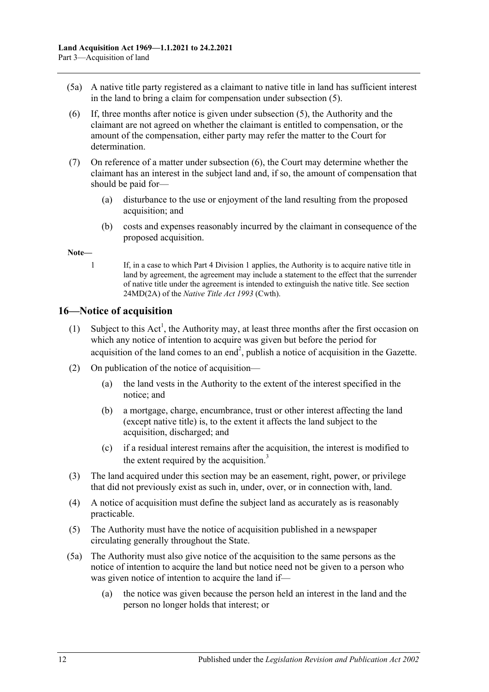- (5a) A native title party registered as a claimant to native title in land has sufficient interest in the land to bring a claim for compensation under [subsection](#page-10-4) (5).
- <span id="page-11-1"></span>(6) If, three months after notice is given under [subsection](#page-10-4) (5), the Authority and the claimant are not agreed on whether the claimant is entitled to compensation, or the amount of the compensation, either party may refer the matter to the Court for determination.
- (7) On reference of a matter under [subsection](#page-11-1) (6), the Court may determine whether the claimant has an interest in the subject land and, if so, the amount of compensation that should be paid for—
	- (a) disturbance to the use or enjoyment of the land resulting from the proposed acquisition; and
	- (b) costs and expenses reasonably incurred by the claimant in consequence of the proposed acquisition.

#### **Note—**

1 If, in a case to which [Part 4 Division 1](#page-12-2) applies, the Authority is to acquire native title in land by agreement, the agreement may include a statement to the effect that the surrender of native title under the agreement is intended to extinguish the native title. See section 24MD(2A) of the *Native Title Act 1993* (Cwth).

## <span id="page-11-0"></span>**16—Notice of acquisition**

- (1) Subject to this  $Act^1$ , the Authority may, at least three months after the first occasion on which any notice of intention to acquire was given but before the period for acquisition of the land comes to an end<sup>2</sup>, publish a notice of acquisition in the Gazette.
- (2) On publication of the notice of acquisition—
	- (a) the land vests in the Authority to the extent of the interest specified in the notice; and
	- (b) a mortgage, charge, encumbrance, trust or other interest affecting the land (except native title) is, to the extent it affects the land subject to the acquisition, discharged; and
	- (c) if a residual interest remains after the acquisition, the interest is modified to the extent required by the acquisition. $3$
- (3) The land acquired under this section may be an easement, right, power, or privilege that did not previously exist as such in, under, over, or in connection with, land.
- (4) A notice of acquisition must define the subject land as accurately as is reasonably practicable.
- (5) The Authority must have the notice of acquisition published in a newspaper circulating generally throughout the State.
- <span id="page-11-2"></span>(5a) The Authority must also give notice of the acquisition to the same persons as the notice of intention to acquire the land but notice need not be given to a person who was given notice of intention to acquire the land if—
	- (a) the notice was given because the person held an interest in the land and the person no longer holds that interest; or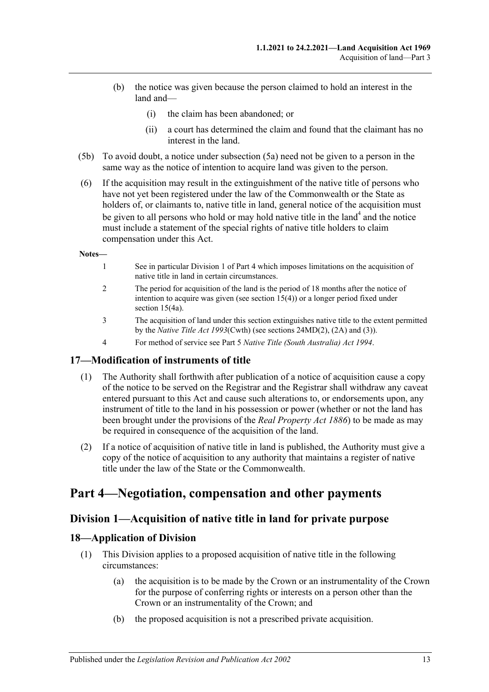- (b) the notice was given because the person claimed to hold an interest in the land and—
	- (i) the claim has been abandoned; or
	- (ii) a court has determined the claim and found that the claimant has no interest in the land.
- (5b) To avoid doubt, a notice under [subsection](#page-11-2) (5a) need not be given to a person in the same way as the notice of intention to acquire land was given to the person.
- (6) If the acquisition may result in the extinguishment of the native title of persons who have not yet been registered under the law of the Commonwealth or the State as holders of, or claimants to, native title in land, general notice of the acquisition must be given to all persons who hold or may hold native title in the land<sup>4</sup> and the notice must include a statement of the special rights of native title holders to claim compensation under this Act.

#### **Notes—**

- 1 See in particula[r Division 1](#page-12-2) of [Part 4](#page-12-1) which imposes limitations on the acquisition of native title in land in certain circumstances.
- 2 The period for acquisition of the land is the period of 18 months after the notice of intention to acquire was given (see [section](#page-10-5) 15(4)) or a longer period fixed under section [15\(4a\).](#page-10-3)
- 3 The acquisition of land under this section extinguishes native title to the extent permitted by the *Native Title Act 1993*(Cwth) (see sections 24MD(2), (2A) and (3)).
- 4 For method of service see Part 5 *[Native Title \(South Australia\) Act](http://www.legislation.sa.gov.au/index.aspx?action=legref&type=act&legtitle=Native%20Title%20(South%20Australia)%20Act%201994) 1994*.

#### <span id="page-12-0"></span>**17—Modification of instruments of title**

- (1) The Authority shall forthwith after publication of a notice of acquisition cause a copy of the notice to be served on the Registrar and the Registrar shall withdraw any caveat entered pursuant to this Act and cause such alterations to, or endorsements upon, any instrument of title to the land in his possession or power (whether or not the land has been brought under the provisions of the *[Real Property Act](http://www.legislation.sa.gov.au/index.aspx?action=legref&type=act&legtitle=Real%20Property%20Act%201886) 1886*) to be made as may be required in consequence of the acquisition of the land.
- (2) If a notice of acquisition of native title in land is published, the Authority must give a copy of the notice of acquisition to any authority that maintains a register of native title under the law of the State or the Commonwealth.

# <span id="page-12-2"></span><span id="page-12-1"></span>**Part 4—Negotiation, compensation and other payments**

### **Division 1—Acquisition of native title in land for private purpose**

### <span id="page-12-3"></span>**18—Application of Division**

- (1) This Division applies to a proposed acquisition of native title in the following circumstances:
	- (a) the acquisition is to be made by the Crown or an instrumentality of the Crown for the purpose of conferring rights or interests on a person other than the Crown or an instrumentality of the Crown; and
	- (b) the proposed acquisition is not a prescribed private acquisition.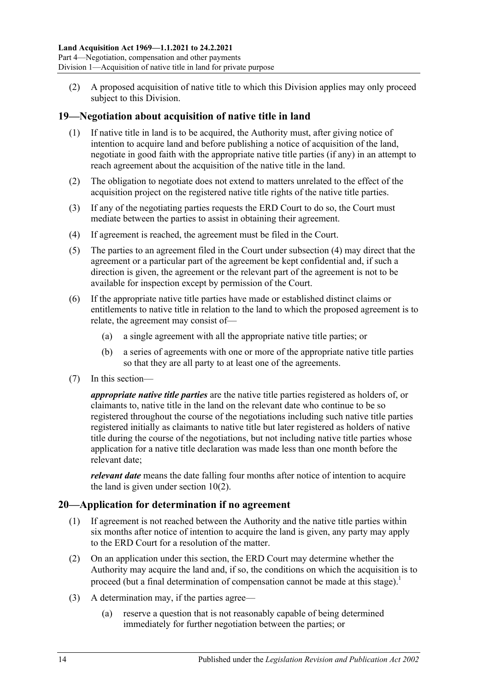(2) A proposed acquisition of native title to which this Division applies may only proceed subject to this Division.

### <span id="page-13-0"></span>**19—Negotiation about acquisition of native title in land**

- (1) If native title in land is to be acquired, the Authority must, after giving notice of intention to acquire land and before publishing a notice of acquisition of the land, negotiate in good faith with the appropriate native title parties (if any) in an attempt to reach agreement about the acquisition of the native title in the land.
- (2) The obligation to negotiate does not extend to matters unrelated to the effect of the acquisition project on the registered native title rights of the native title parties.
- (3) If any of the negotiating parties requests the ERD Court to do so, the Court must mediate between the parties to assist in obtaining their agreement.
- <span id="page-13-2"></span>(4) If agreement is reached, the agreement must be filed in the Court.
- (5) The parties to an agreement filed in the Court under [subsection](#page-13-2) (4) may direct that the agreement or a particular part of the agreement be kept confidential and, if such a direction is given, the agreement or the relevant part of the agreement is not to be available for inspection except by permission of the Court.
- (6) If the appropriate native title parties have made or established distinct claims or entitlements to native title in relation to the land to which the proposed agreement is to relate, the agreement may consist of—
	- (a) a single agreement with all the appropriate native title parties; or
	- (b) a series of agreements with one or more of the appropriate native title parties so that they are all party to at least one of the agreements.
- (7) In this section—

*appropriate native title parties* are the native title parties registered as holders of, or claimants to, native title in the land on the relevant date who continue to be so registered throughout the course of the negotiations including such native title parties registered initially as claimants to native title but later registered as holders of native title during the course of the negotiations, but not including native title parties whose application for a native title declaration was made less than one month before the relevant date;

*relevant date* means the date falling four months after notice of intention to acquire the land is given under [section](#page-4-5) 10(2).

#### <span id="page-13-1"></span>**20—Application for determination if no agreement**

- (1) If agreement is not reached between the Authority and the native title parties within six months after notice of intention to acquire the land is given, any party may apply to the ERD Court for a resolution of the matter.
- (2) On an application under this section, the ERD Court may determine whether the Authority may acquire the land and, if so, the conditions on which the acquisition is to proceed (but a final determination of compensation cannot be made at this stage).<sup>1</sup>
- (3) A determination may, if the parties agree—
	- (a) reserve a question that is not reasonably capable of being determined immediately for further negotiation between the parties; or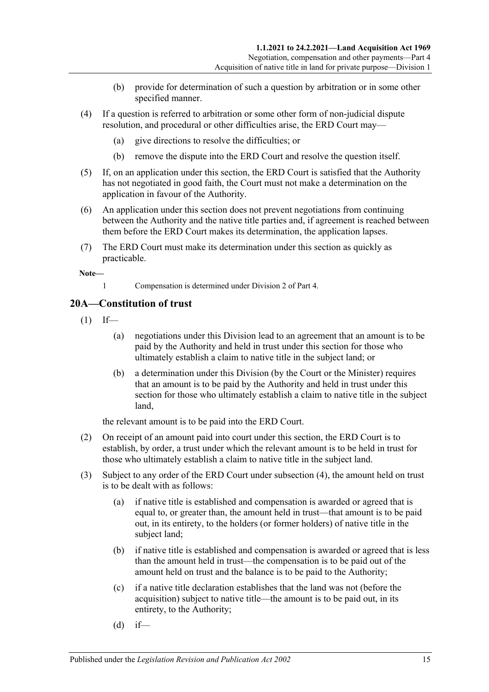- (b) provide for determination of such a question by arbitration or in some other specified manner.
- (4) If a question is referred to arbitration or some other form of non-judicial dispute resolution, and procedural or other difficulties arise, the ERD Court may—
	- (a) give directions to resolve the difficulties; or
	- (b) remove the dispute into the ERD Court and resolve the question itself.
- (5) If, on an application under this section, the ERD Court is satisfied that the Authority has not negotiated in good faith, the Court must not make a determination on the application in favour of the Authority.
- (6) An application under this section does not prevent negotiations from continuing between the Authority and the native title parties and, if agreement is reached between them before the ERD Court makes its determination, the application lapses.
- (7) The ERD Court must make its determination under this section as quickly as practicable.

**Note—**

1 Compensation is determined unde[r Division 2](#page-16-3) of [Part 4.](#page-12-1)

## <span id="page-14-0"></span>**20A—Constitution of trust**

- $(1)$  If—
	- (a) negotiations under this Division lead to an agreement that an amount is to be paid by the Authority and held in trust under this section for those who ultimately establish a claim to native title in the subject land; or
	- (b) a determination under this Division (by the Court or the Minister) requires that an amount is to be paid by the Authority and held in trust under this section for those who ultimately establish a claim to native title in the subject land,

the relevant amount is to be paid into the ERD Court.

- (2) On receipt of an amount paid into court under this section, the ERD Court is to establish, by order, a trust under which the relevant amount is to be held in trust for those who ultimately establish a claim to native title in the subject land.
- (3) Subject to any order of the ERD Court under [subsection](#page-15-1) (4), the amount held on trust is to be dealt with as follows:
	- (a) if native title is established and compensation is awarded or agreed that is equal to, or greater than, the amount held in trust—that amount is to be paid out, in its entirety, to the holders (or former holders) of native title in the subject land;
	- (b) if native title is established and compensation is awarded or agreed that is less than the amount held in trust—the compensation is to be paid out of the amount held on trust and the balance is to be paid to the Authority;
	- (c) if a native title declaration establishes that the land was not (before the acquisition) subject to native title—the amount is to be paid out, in its entirety, to the Authority;
	- $(d)$  if—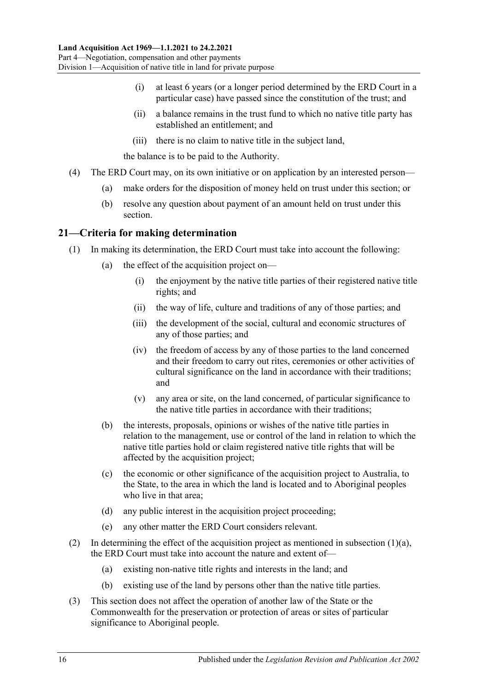- (i) at least 6 years (or a longer period determined by the ERD Court in a particular case) have passed since the constitution of the trust; and
- (ii) a balance remains in the trust fund to which no native title party has established an entitlement; and
- (iii) there is no claim to native title in the subject land,

the balance is to be paid to the Authority.

- <span id="page-15-1"></span>(4) The ERD Court may, on its own initiative or on application by an interested person—
	- (a) make orders for the disposition of money held on trust under this section; or
	- (b) resolve any question about payment of an amount held on trust under this section.

#### <span id="page-15-3"></span><span id="page-15-0"></span>**21—Criteria for making determination**

- <span id="page-15-2"></span>(1) In making its determination, the ERD Court must take into account the following:
	- (a) the effect of the acquisition project on—
		- (i) the enjoyment by the native title parties of their registered native title rights; and
		- (ii) the way of life, culture and traditions of any of those parties; and
		- (iii) the development of the social, cultural and economic structures of any of those parties; and
		- (iv) the freedom of access by any of those parties to the land concerned and their freedom to carry out rites, ceremonies or other activities of cultural significance on the land in accordance with their traditions; and
		- (v) any area or site, on the land concerned, of particular significance to the native title parties in accordance with their traditions;
	- (b) the interests, proposals, opinions or wishes of the native title parties in relation to the management, use or control of the land in relation to which the native title parties hold or claim registered native title rights that will be affected by the acquisition project;
	- (c) the economic or other significance of the acquisition project to Australia, to the State, to the area in which the land is located and to Aboriginal peoples who live in that area;
	- (d) any public interest in the acquisition project proceeding;
	- (e) any other matter the ERD Court considers relevant.
- (2) In determining the effect of the acquisition project as mentioned in [subsection](#page-15-2)  $(1)(a)$ , the ERD Court must take into account the nature and extent of—
	- (a) existing non-native title rights and interests in the land; and
	- (b) existing use of the land by persons other than the native title parties.
- (3) This section does not affect the operation of another law of the State or the Commonwealth for the preservation or protection of areas or sites of particular significance to Aboriginal people.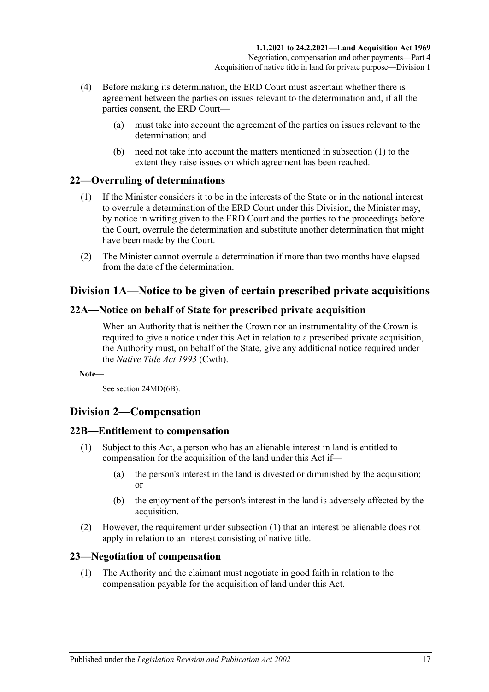- (4) Before making its determination, the ERD Court must ascertain whether there is agreement between the parties on issues relevant to the determination and, if all the parties consent, the ERD Court—
	- (a) must take into account the agreement of the parties on issues relevant to the determination; and
	- (b) need not take into account the matters mentioned in [subsection](#page-15-3) (1) to the extent they raise issues on which agreement has been reached.

## <span id="page-16-0"></span>**22—Overruling of determinations**

- (1) If the Minister considers it to be in the interests of the State or in the national interest to overrule a determination of the ERD Court under this Division, the Minister may, by notice in writing given to the ERD Court and the parties to the proceedings before the Court, overrule the determination and substitute another determination that might have been made by the Court.
- (2) The Minister cannot overrule a determination if more than two months have elapsed from the date of the determination.

## <span id="page-16-1"></span>**Division 1A—Notice to be given of certain prescribed private acquisitions**

### <span id="page-16-2"></span>**22A—Notice on behalf of State for prescribed private acquisition**

When an Authority that is neither the Crown nor an instrumentality of the Crown is required to give a notice under this Act in relation to a prescribed private acquisition, the Authority must, on behalf of the State, give any additional notice required under the *Native Title Act 1993* (Cwth).

**Note—**

See section 24MD(6B).

## <span id="page-16-3"></span>**Division 2—Compensation**

### <span id="page-16-6"></span><span id="page-16-4"></span>**22B—Entitlement to compensation**

- (1) Subject to this Act, a person who has an alienable interest in land is entitled to compensation for the acquisition of the land under this Act if—
	- (a) the person's interest in the land is divested or diminished by the acquisition; or
	- (b) the enjoyment of the person's interest in the land is adversely affected by the acquisition.
- (2) However, the requirement under [subsection](#page-16-6) (1) that an interest be alienable does not apply in relation to an interest consisting of native title.

### <span id="page-16-5"></span>**23—Negotiation of compensation**

(1) The Authority and the claimant must negotiate in good faith in relation to the compensation payable for the acquisition of land under this Act.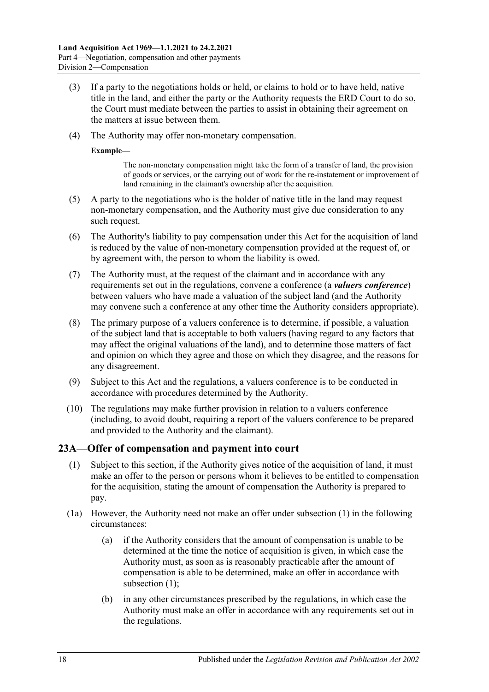- (3) If a party to the negotiations holds or held, or claims to hold or to have held, native title in the land, and either the party or the Authority requests the ERD Court to do so, the Court must mediate between the parties to assist in obtaining their agreement on the matters at issue between them.
- (4) The Authority may offer non-monetary compensation.

#### **Example—**

The non-monetary compensation might take the form of a transfer of land, the provision of goods or services, or the carrying out of work for the re-instatement or improvement of land remaining in the claimant's ownership after the acquisition.

- (5) A party to the negotiations who is the holder of native title in the land may request non-monetary compensation, and the Authority must give due consideration to any such request.
- (6) The Authority's liability to pay compensation under this Act for the acquisition of land is reduced by the value of non-monetary compensation provided at the request of, or by agreement with, the person to whom the liability is owed.
- (7) The Authority must, at the request of the claimant and in accordance with any requirements set out in the regulations, convene a conference (a *valuers conference*) between valuers who have made a valuation of the subject land (and the Authority may convene such a conference at any other time the Authority considers appropriate).
- (8) The primary purpose of a valuers conference is to determine, if possible, a valuation of the subject land that is acceptable to both valuers (having regard to any factors that may affect the original valuations of the land), and to determine those matters of fact and opinion on which they agree and those on which they disagree, and the reasons for any disagreement.
- (9) Subject to this Act and the regulations, a valuers conference is to be conducted in accordance with procedures determined by the Authority.
- (10) The regulations may make further provision in relation to a valuers conference (including, to avoid doubt, requiring a report of the valuers conference to be prepared and provided to the Authority and the claimant).

### <span id="page-17-1"></span><span id="page-17-0"></span>**23A—Offer of compensation and payment into court**

- (1) Subject to this section, if the Authority gives notice of the acquisition of land, it must make an offer to the person or persons whom it believes to be entitled to compensation for the acquisition, stating the amount of compensation the Authority is prepared to pay.
- (1a) However, the Authority need not make an offer under [subsection](#page-17-1) (1) in the following circumstances:
	- (a) if the Authority considers that the amount of compensation is unable to be determined at the time the notice of acquisition is given, in which case the Authority must, as soon as is reasonably practicable after the amount of compensation is able to be determined, make an offer in accordance with [subsection](#page-17-1) (1);
	- (b) in any other circumstances prescribed by the regulations, in which case the Authority must make an offer in accordance with any requirements set out in the regulations.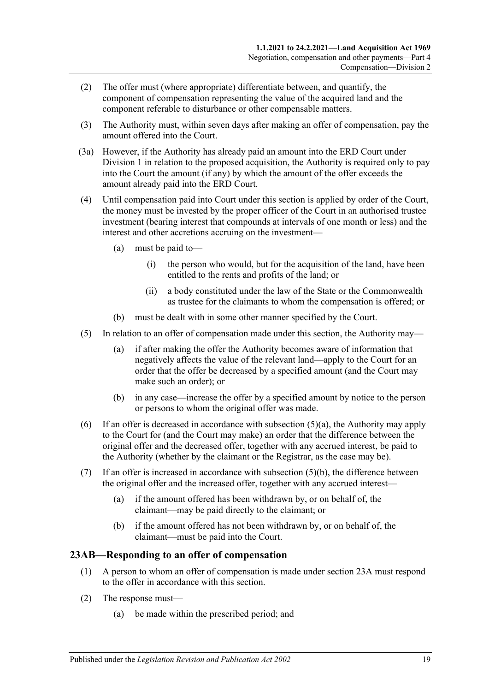- (2) The offer must (where appropriate) differentiate between, and quantify, the component of compensation representing the value of the acquired land and the component referable to disturbance or other compensable matters.
- (3) The Authority must, within seven days after making an offer of compensation, pay the amount offered into the Court.
- (3a) However, if the Authority has already paid an amount into the ERD Court under [Division 1](#page-12-2) in relation to the proposed acquisition, the Authority is required only to pay into the Court the amount (if any) by which the amount of the offer exceeds the amount already paid into the ERD Court.
- (4) Until compensation paid into Court under this section is applied by order of the Court, the money must be invested by the proper officer of the Court in an authorised trustee investment (bearing interest that compounds at intervals of one month or less) and the interest and other accretions accruing on the investment—
	- (a) must be paid to—
		- (i) the person who would, but for the acquisition of the land, have been entitled to the rents and profits of the land; or
		- (ii) a body constituted under the law of the State or the Commonwealth as trustee for the claimants to whom the compensation is offered; or
	- (b) must be dealt with in some other manner specified by the Court.
- <span id="page-18-1"></span>(5) In relation to an offer of compensation made under this section, the Authority may—
	- (a) if after making the offer the Authority becomes aware of information that negatively affects the value of the relevant land—apply to the Court for an order that the offer be decreased by a specified amount (and the Court may make such an order); or
	- (b) in any case—increase the offer by a specified amount by notice to the person or persons to whom the original offer was made.
- <span id="page-18-2"></span>(6) If an offer is decreased in accordance with [subsection](#page-18-1)  $(5)(a)$ , the Authority may apply to the Court for (and the Court may make) an order that the difference between the original offer and the decreased offer, together with any accrued interest, be paid to the Authority (whether by the claimant or the Registrar, as the case may be).
- (7) If an offer is increased in accordance with [subsection](#page-18-2) (5)(b), the difference between the original offer and the increased offer, together with any accrued interest—
	- (a) if the amount offered has been withdrawn by, or on behalf of, the claimant—may be paid directly to the claimant; or
	- (b) if the amount offered has not been withdrawn by, or on behalf of, the claimant—must be paid into the Court.

### <span id="page-18-0"></span>**23AB—Responding to an offer of compensation**

- (1) A person to whom an offer of compensation is made under [section](#page-17-0) 23A must respond to the offer in accordance with this section.
- (2) The response must—
	- (a) be made within the prescribed period; and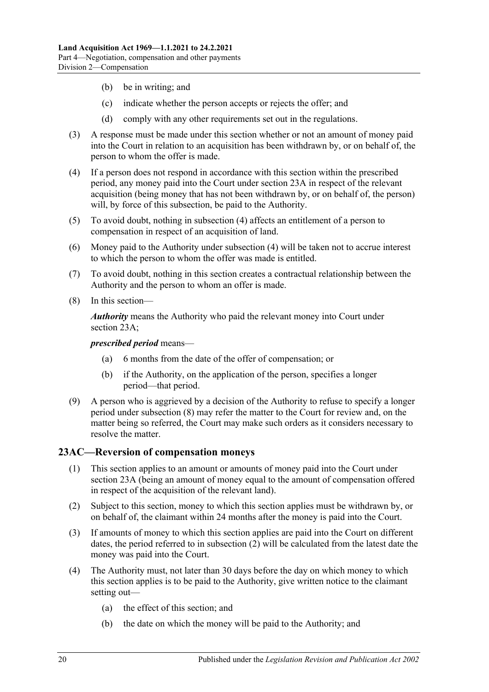- (b) be in writing; and
- (c) indicate whether the person accepts or rejects the offer; and
- (d) comply with any other requirements set out in the regulations.
- (3) A response must be made under this section whether or not an amount of money paid into the Court in relation to an acquisition has been withdrawn by, or on behalf of, the person to whom the offer is made.
- <span id="page-19-1"></span>(4) If a person does not respond in accordance with this section within the prescribed period, any money paid into the Court under [section](#page-17-0) 23A in respect of the relevant acquisition (being money that has not been withdrawn by, or on behalf of, the person) will, by force of this subsection, be paid to the Authority.
- (5) To avoid doubt, nothing in [subsection](#page-19-1) (4) affects an entitlement of a person to compensation in respect of an acquisition of land.
- (6) Money paid to the Authority under [subsection](#page-19-1) (4) will be taken not to accrue interest to which the person to whom the offer was made is entitled.
- (7) To avoid doubt, nothing in this section creates a contractual relationship between the Authority and the person to whom an offer is made.
- <span id="page-19-2"></span>(8) In this section—

*Authority* means the Authority who paid the relevant money into Court under [section](#page-17-0) 23A;

*prescribed period* means—

- (a) 6 months from the date of the offer of compensation; or
- (b) if the Authority, on the application of the person, specifies a longer period—that period.
- (9) A person who is aggrieved by a decision of the Authority to refuse to specify a longer period under [subsection](#page-19-2) (8) may refer the matter to the Court for review and, on the matter being so referred, the Court may make such orders as it considers necessary to resolve the matter.

### <span id="page-19-0"></span>**23AC—Reversion of compensation moneys**

- (1) This section applies to an amount or amounts of money paid into the Court under [section](#page-17-0) 23A (being an amount of money equal to the amount of compensation offered in respect of the acquisition of the relevant land).
- <span id="page-19-3"></span>(2) Subject to this section, money to which this section applies must be withdrawn by, or on behalf of, the claimant within 24 months after the money is paid into the Court.
- (3) If amounts of money to which this section applies are paid into the Court on different dates, the period referred to in [subsection](#page-19-3) (2) will be calculated from the latest date the money was paid into the Court.
- (4) The Authority must, not later than 30 days before the day on which money to which this section applies is to be paid to the Authority, give written notice to the claimant setting out—
	- (a) the effect of this section; and
	- (b) the date on which the money will be paid to the Authority; and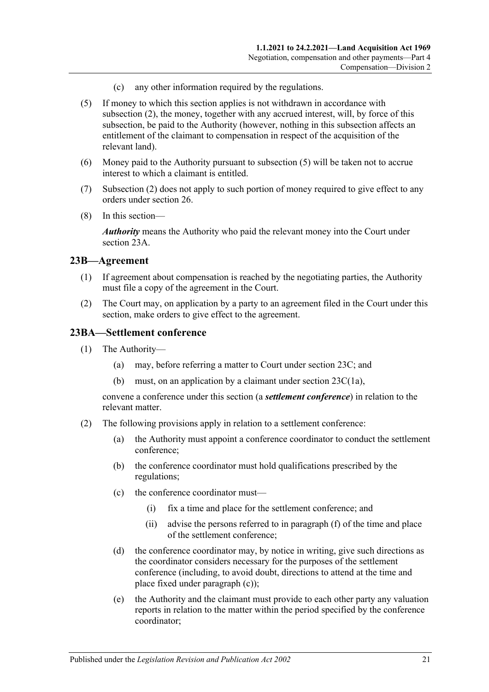- (c) any other information required by the regulations.
- <span id="page-20-2"></span>(5) If money to which this section applies is not withdrawn in accordance with [subsection](#page-19-3) (2), the money, together with any accrued interest, will, by force of this subsection, be paid to the Authority (however, nothing in this subsection affects an entitlement of the claimant to compensation in respect of the acquisition of the relevant land).
- (6) Money paid to the Authority pursuant to [subsection](#page-20-2) (5) will be taken not to accrue interest to which a claimant is entitled.
- (7) [Subsection](#page-19-3) (2) does not apply to such portion of money required to give effect to any orders under [section](#page-25-1) 26.
- (8) In this section—

*Authority* means the Authority who paid the relevant money into the Court under [section](#page-17-0) 23A.

#### <span id="page-20-0"></span>**23B—Agreement**

- (1) If agreement about compensation is reached by the negotiating parties, the Authority must file a copy of the agreement in the Court.
- (2) The Court may, on application by a party to an agreement filed in the Court under this section, make orders to give effect to the agreement.

#### <span id="page-20-1"></span>**23BA—Settlement conference**

- (1) The Authority—
	- (a) may, before referring a matter to Court under [section](#page-21-0) 23C; and
	- (b) must, on an application by a claimant under section [23C\(1a\),](#page-21-1)

convene a conference under this section (a *settlement conference*) in relation to the relevant matter.

- <span id="page-20-3"></span>(2) The following provisions apply in relation to a settlement conference:
	- (a) the Authority must appoint a conference coordinator to conduct the settlement conference;
	- (b) the conference coordinator must hold qualifications prescribed by the regulations;
	- (c) the conference coordinator must—
		- (i) fix a time and place for the settlement conference; and
		- (ii) advise the persons referred to in [paragraph](#page-21-2) (f) of the time and place of the settlement conference;
	- (d) the conference coordinator may, by notice in writing, give such directions as the coordinator considers necessary for the purposes of the settlement conference (including, to avoid doubt, directions to attend at the time and place fixed under [paragraph](#page-20-3) (c));
	- (e) the Authority and the claimant must provide to each other party any valuation reports in relation to the matter within the period specified by the conference coordinator;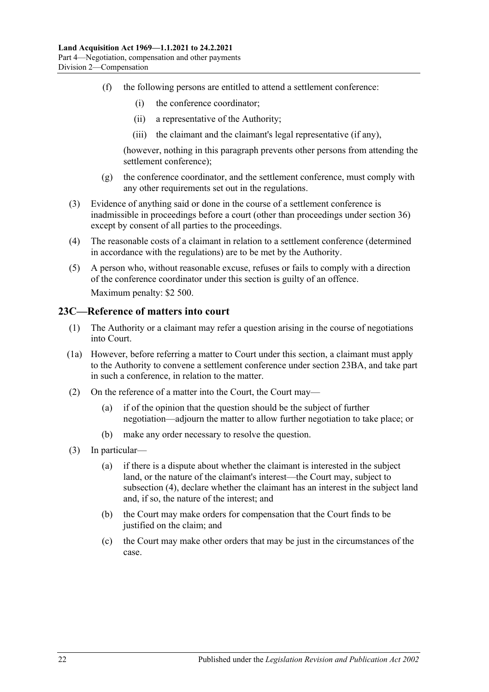- <span id="page-21-2"></span>(f) the following persons are entitled to attend a settlement conference:
	- (i) the conference coordinator;
	- (ii) a representative of the Authority;
	- (iii) the claimant and the claimant's legal representative (if any),

(however, nothing in this paragraph prevents other persons from attending the settlement conference);

- (g) the conference coordinator, and the settlement conference, must comply with any other requirements set out in the regulations.
- (3) Evidence of anything said or done in the course of a settlement conference is inadmissible in proceedings before a court (other than proceedings under section 36) except by consent of all parties to the proceedings.
- (4) The reasonable costs of a claimant in relation to a settlement conference (determined in accordance with the regulations) are to be met by the Authority.
- (5) A person who, without reasonable excuse, refuses or fails to comply with a direction of the conference coordinator under this section is guilty of an offence. Maximum penalty: \$2 500.

#### <span id="page-21-0"></span>**23C—Reference of matters into court**

- (1) The Authority or a claimant may refer a question arising in the course of negotiations into Court.
- <span id="page-21-1"></span>(1a) However, before referring a matter to Court under this section, a claimant must apply to the Authority to convene a settlement conference under [section](#page-20-1) 23BA, and take part in such a conference, in relation to the matter.
- (2) On the reference of a matter into the Court, the Court may—
	- (a) if of the opinion that the question should be the subject of further negotiation—adjourn the matter to allow further negotiation to take place; or
	- (b) make any order necessary to resolve the question.
- (3) In particular—
	- (a) if there is a dispute about whether the claimant is interested in the subject land, or the nature of the claimant's interest—the Court may, subject to [subsection](#page-22-1) (4), declare whether the claimant has an interest in the subject land and, if so, the nature of the interest; and
	- (b) the Court may make orders for compensation that the Court finds to be justified on the claim; and
	- (c) the Court may make other orders that may be just in the circumstances of the case.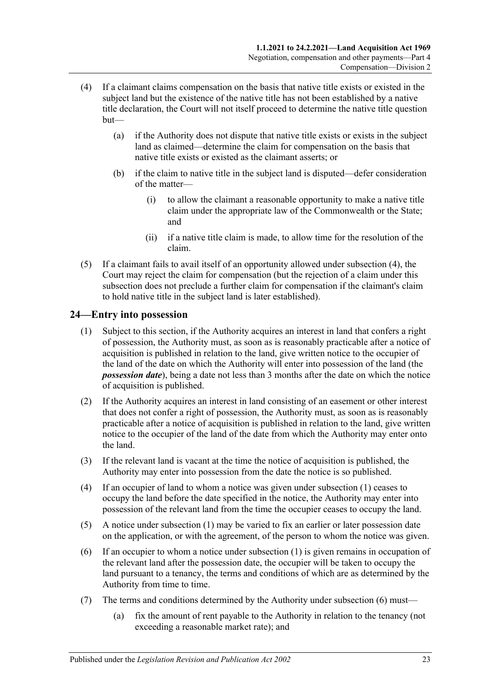- <span id="page-22-1"></span>(4) If a claimant claims compensation on the basis that native title exists or existed in the subject land but the existence of the native title has not been established by a native title declaration, the Court will not itself proceed to determine the native title question but—
	- (a) if the Authority does not dispute that native title exists or exists in the subject land as claimed—determine the claim for compensation on the basis that native title exists or existed as the claimant asserts; or
	- (b) if the claim to native title in the subject land is disputed—defer consideration of the matter—
		- (i) to allow the claimant a reasonable opportunity to make a native title claim under the appropriate law of the Commonwealth or the State; and
		- (ii) if a native title claim is made, to allow time for the resolution of the claim.
- (5) If a claimant fails to avail itself of an opportunity allowed under [subsection](#page-22-1) (4), the Court may reject the claim for compensation (but the rejection of a claim under this subsection does not preclude a further claim for compensation if the claimant's claim to hold native title in the subject land is later established).

## <span id="page-22-2"></span><span id="page-22-0"></span>**24—Entry into possession**

- (1) Subject to this section, if the Authority acquires an interest in land that confers a right of possession, the Authority must, as soon as is reasonably practicable after a notice of acquisition is published in relation to the land, give written notice to the occupier of the land of the date on which the Authority will enter into possession of the land (the *possession date*), being a date not less than 3 months after the date on which the notice of acquisition is published.
- (2) If the Authority acquires an interest in land consisting of an easement or other interest that does not confer a right of possession, the Authority must, as soon as is reasonably practicable after a notice of acquisition is published in relation to the land, give written notice to the occupier of the land of the date from which the Authority may enter onto the land.
- (3) If the relevant land is vacant at the time the notice of acquisition is published, the Authority may enter into possession from the date the notice is so published.
- (4) If an occupier of land to whom a notice was given under [subsection](#page-22-2) (1) ceases to occupy the land before the date specified in the notice, the Authority may enter into possession of the relevant land from the time the occupier ceases to occupy the land.
- (5) A notice under [subsection](#page-22-2) (1) may be varied to fix an earlier or later possession date on the application, or with the agreement, of the person to whom the notice was given.
- <span id="page-22-3"></span>(6) If an occupier to whom a notice under [subsection](#page-22-2) (1) is given remains in occupation of the relevant land after the possession date, the occupier will be taken to occupy the land pursuant to a tenancy, the terms and conditions of which are as determined by the Authority from time to time.
- (7) The terms and conditions determined by the Authority under [subsection](#page-22-3) (6) must—
	- (a) fix the amount of rent payable to the Authority in relation to the tenancy (not exceeding a reasonable market rate); and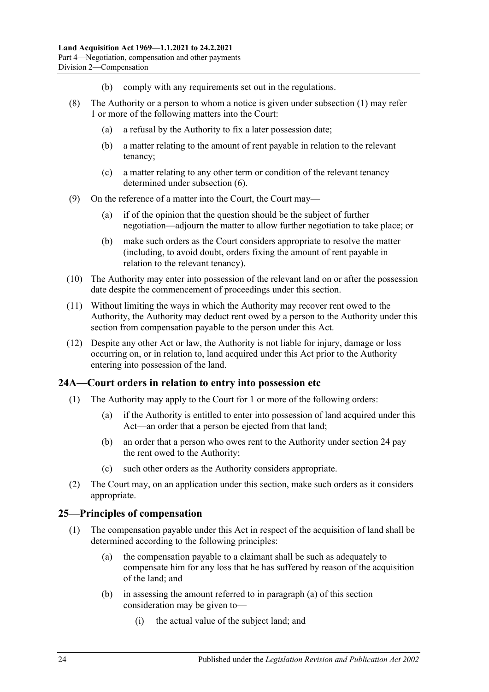- (b) comply with any requirements set out in the regulations.
- (8) The Authority or a person to whom a notice is given under [subsection](#page-22-2) (1) may refer 1 or more of the following matters into the Court:
	- (a) a refusal by the Authority to fix a later possession date;
	- (b) a matter relating to the amount of rent payable in relation to the relevant tenancy;
	- (c) a matter relating to any other term or condition of the relevant tenancy determined under [subsection](#page-22-3) (6).
- (9) On the reference of a matter into the Court, the Court may—
	- (a) if of the opinion that the question should be the subject of further negotiation—adjourn the matter to allow further negotiation to take place; or
	- (b) make such orders as the Court considers appropriate to resolve the matter (including, to avoid doubt, orders fixing the amount of rent payable in relation to the relevant tenancy).
- (10) The Authority may enter into possession of the relevant land on or after the possession date despite the commencement of proceedings under this section.
- (11) Without limiting the ways in which the Authority may recover rent owed to the Authority, the Authority may deduct rent owed by a person to the Authority under this section from compensation payable to the person under this Act.
- (12) Despite any other Act or law, the Authority is not liable for injury, damage or loss occurring on, or in relation to, land acquired under this Act prior to the Authority entering into possession of the land.

## <span id="page-23-0"></span>**24A—Court orders in relation to entry into possession etc**

- (1) The Authority may apply to the Court for 1 or more of the following orders:
	- (a) if the Authority is entitled to enter into possession of land acquired under this Act—an order that a person be ejected from that land;
	- (b) an order that a person who owes rent to the Authority under [section](#page-22-0) 24 pay the rent owed to the Authority;
	- (c) such other orders as the Authority considers appropriate.
- (2) The Court may, on an application under this section, make such orders as it considers appropriate.

### <span id="page-23-3"></span><span id="page-23-1"></span>**25—Principles of compensation**

- <span id="page-23-2"></span>(1) The compensation payable under this Act in respect of the acquisition of land shall be determined according to the following principles:
	- (a) the compensation payable to a claimant shall be such as adequately to compensate him for any loss that he has suffered by reason of the acquisition of the land; and
	- (b) in assessing the amount referred to in [paragraph](#page-23-2) (a) of this section consideration may be given to—
		- (i) the actual value of the subject land; and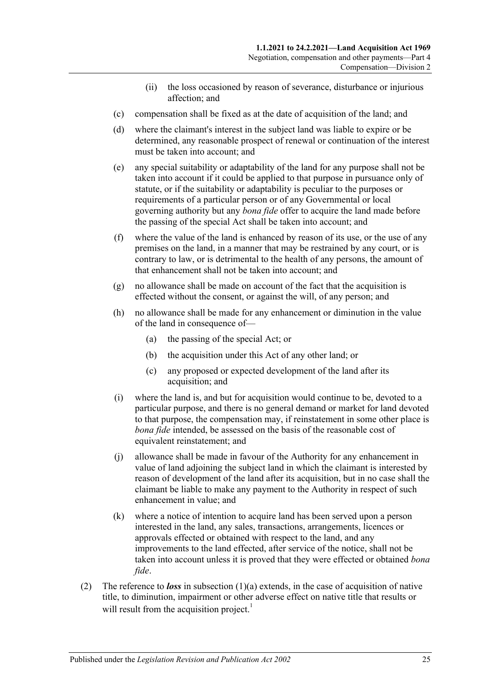- (ii) the loss occasioned by reason of severance, disturbance or injurious affection; and
- (c) compensation shall be fixed as at the date of acquisition of the land; and
- (d) where the claimant's interest in the subject land was liable to expire or be determined, any reasonable prospect of renewal or continuation of the interest must be taken into account; and
- (e) any special suitability or adaptability of the land for any purpose shall not be taken into account if it could be applied to that purpose in pursuance only of statute, or if the suitability or adaptability is peculiar to the purposes or requirements of a particular person or of any Governmental or local governing authority but any *bona fide* offer to acquire the land made before the passing of the special Act shall be taken into account; and
- (f) where the value of the land is enhanced by reason of its use, or the use of any premises on the land, in a manner that may be restrained by any court, or is contrary to law, or is detrimental to the health of any persons, the amount of that enhancement shall not be taken into account; and
- (g) no allowance shall be made on account of the fact that the acquisition is effected without the consent, or against the will, of any person; and
- (h) no allowance shall be made for any enhancement or diminution in the value of the land in consequence of—
	- (a) the passing of the special Act; or
	- (b) the acquisition under this Act of any other land; or
	- (c) any proposed or expected development of the land after its acquisition; and
- (i) where the land is, and but for acquisition would continue to be, devoted to a particular purpose, and there is no general demand or market for land devoted to that purpose, the compensation may, if reinstatement in some other place is *bona fide* intended, be assessed on the basis of the reasonable cost of equivalent reinstatement; and
- (j) allowance shall be made in favour of the Authority for any enhancement in value of land adjoining the subject land in which the claimant is interested by reason of development of the land after its acquisition, but in no case shall the claimant be liable to make any payment to the Authority in respect of such enhancement in value; and
- (k) where a notice of intention to acquire land has been served upon a person interested in the land, any sales, transactions, arrangements, licences or approvals effected or obtained with respect to the land, and any improvements to the land effected, after service of the notice, shall not be taken into account unless it is proved that they were effected or obtained *bona fide*.
- <span id="page-24-0"></span>(2) The reference to *loss* in [subsection](#page-23-2)  $(1)(a)$  extends, in the case of acquisition of native title, to diminution, impairment or other adverse effect on native title that results or will result from the acquisition project.<sup>1</sup>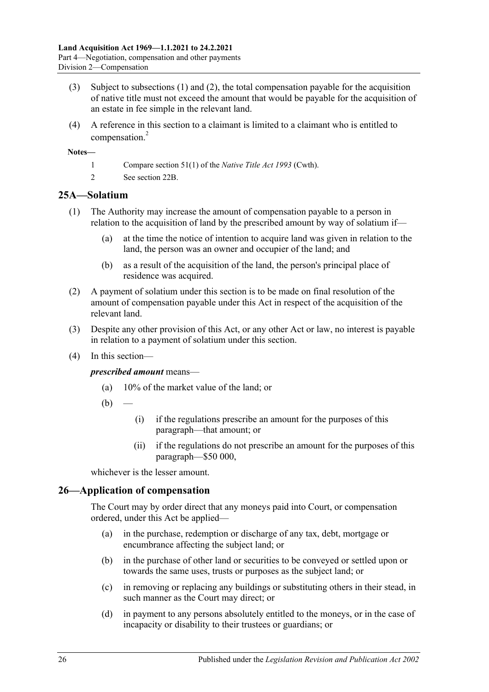- (3) Subject to [subsections](#page-23-3) (1) and [\(2\),](#page-24-0) the total compensation payable for the acquisition of native title must not exceed the amount that would be payable for the acquisition of an estate in fee simple in the relevant land.
- (4) A reference in this section to a claimant is limited to a claimant who is entitled to compensation.<sup>2</sup>

#### **Notes—**

- 1 Compare section 51(1) of the *Native Title Act 1993* (Cwth).
- 2 See [section](#page-16-4) 22B.

### <span id="page-25-0"></span>**25A—Solatium**

- (1) The Authority may increase the amount of compensation payable to a person in relation to the acquisition of land by the prescribed amount by way of solatium if—
	- (a) at the time the notice of intention to acquire land was given in relation to the land, the person was an owner and occupier of the land; and
	- (b) as a result of the acquisition of the land, the person's principal place of residence was acquired.
- (2) A payment of solatium under this section is to be made on final resolution of the amount of compensation payable under this Act in respect of the acquisition of the relevant land.
- (3) Despite any other provision of this Act, or any other Act or law, no interest is payable in relation to a payment of solatium under this section.
- (4) In this section—

#### *prescribed amount* means—

- (a) 10% of the market value of the land; or
- $(b)$
- (i) if the regulations prescribe an amount for the purposes of this paragraph—that amount; or
- (ii) if the regulations do not prescribe an amount for the purposes of this paragraph—\$50 000,

whichever is the lesser amount.

#### <span id="page-25-1"></span>**26—Application of compensation**

The Court may by order direct that any moneys paid into Court, or compensation ordered, under this Act be applied—

- (a) in the purchase, redemption or discharge of any tax, debt, mortgage or encumbrance affecting the subject land; or
- (b) in the purchase of other land or securities to be conveyed or settled upon or towards the same uses, trusts or purposes as the subject land; or
- (c) in removing or replacing any buildings or substituting others in their stead, in such manner as the Court may direct; or
- (d) in payment to any persons absolutely entitled to the moneys, or in the case of incapacity or disability to their trustees or guardians; or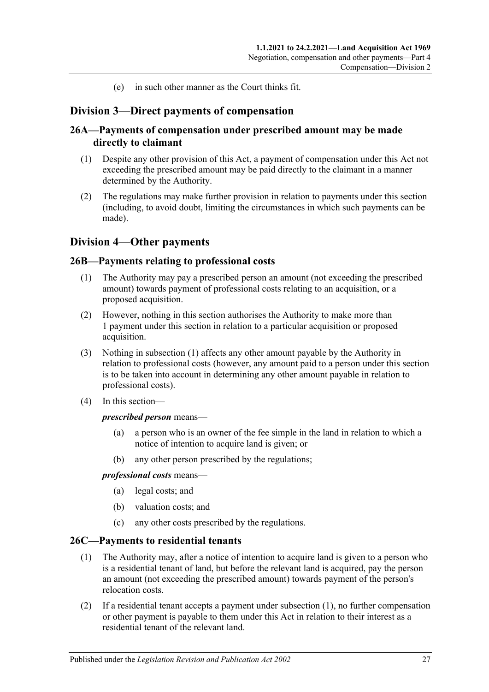(e) in such other manner as the Court thinks fit.

## <span id="page-26-0"></span>**Division 3—Direct payments of compensation**

### <span id="page-26-1"></span>**26A—Payments of compensation under prescribed amount may be made directly to claimant**

- (1) Despite any other provision of this Act, a payment of compensation under this Act not exceeding the prescribed amount may be paid directly to the claimant in a manner determined by the Authority.
- (2) The regulations may make further provision in relation to payments under this section (including, to avoid doubt, limiting the circumstances in which such payments can be made).

## <span id="page-26-2"></span>**Division 4—Other payments**

### <span id="page-26-5"></span><span id="page-26-3"></span>**26B—Payments relating to professional costs**

- (1) The Authority may pay a prescribed person an amount (not exceeding the prescribed amount) towards payment of professional costs relating to an acquisition, or a proposed acquisition.
- (2) However, nothing in this section authorises the Authority to make more than 1 payment under this section in relation to a particular acquisition or proposed acquisition.
- (3) Nothing in [subsection](#page-26-5) (1) affects any other amount payable by the Authority in relation to professional costs (however, any amount paid to a person under this section is to be taken into account in determining any other amount payable in relation to professional costs).
- (4) In this section—

#### *prescribed person* means—

- (a) a person who is an owner of the fee simple in the land in relation to which a notice of intention to acquire land is given; or
- (b) any other person prescribed by the regulations;

#### *professional costs* means—

- (a) legal costs; and
- (b) valuation costs; and
- (c) any other costs prescribed by the regulations.

### <span id="page-26-6"></span><span id="page-26-4"></span>**26C—Payments to residential tenants**

- (1) The Authority may, after a notice of intention to acquire land is given to a person who is a residential tenant of land, but before the relevant land is acquired, pay the person an amount (not exceeding the prescribed amount) towards payment of the person's relocation costs.
- (2) If a residential tenant accepts a payment under [subsection](#page-26-6) (1), no further compensation or other payment is payable to them under this Act in relation to their interest as a residential tenant of the relevant land.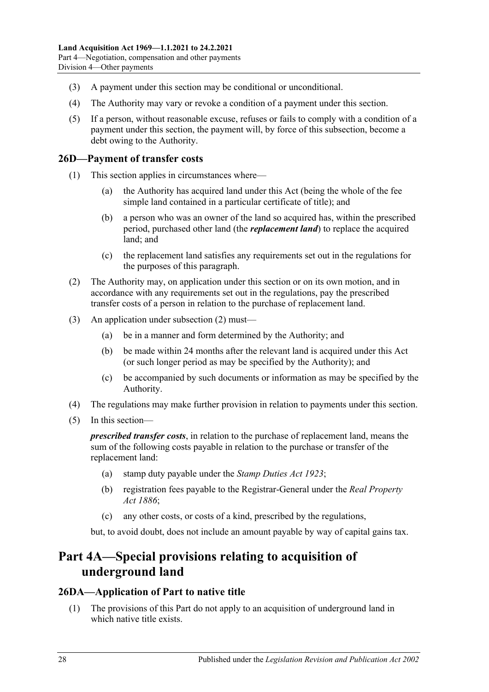- (3) A payment under this section may be conditional or unconditional.
- (4) The Authority may vary or revoke a condition of a payment under this section.
- (5) If a person, without reasonable excuse, refuses or fails to comply with a condition of a payment under this section, the payment will, by force of this subsection, become a debt owing to the Authority.

## <span id="page-27-0"></span>**26D—Payment of transfer costs**

- (1) This section applies in circumstances where—
	- (a) the Authority has acquired land under this Act (being the whole of the fee simple land contained in a particular certificate of title); and
	- (b) a person who was an owner of the land so acquired has, within the prescribed period, purchased other land (the *replacement land*) to replace the acquired land; and
	- (c) the replacement land satisfies any requirements set out in the regulations for the purposes of this paragraph.
- <span id="page-27-3"></span>(2) The Authority may, on application under this section or on its own motion, and in accordance with any requirements set out in the regulations, pay the prescribed transfer costs of a person in relation to the purchase of replacement land.
- (3) An application under [subsection](#page-27-3) (2) must—
	- (a) be in a manner and form determined by the Authority; and
	- (b) be made within 24 months after the relevant land is acquired under this Act (or such longer period as may be specified by the Authority); and
	- (c) be accompanied by such documents or information as may be specified by the Authority.
- (4) The regulations may make further provision in relation to payments under this section.
- (5) In this section—

*prescribed transfer costs*, in relation to the purchase of replacement land, means the sum of the following costs payable in relation to the purchase or transfer of the replacement land:

- (a) stamp duty payable under the *[Stamp Duties Act](http://www.legislation.sa.gov.au/index.aspx?action=legref&type=act&legtitle=Stamp%20Duties%20Act%201923) 1923*;
- (b) registration fees payable to the Registrar-General under the *[Real Property](http://www.legislation.sa.gov.au/index.aspx?action=legref&type=act&legtitle=Real%20Property%20Act%201886)  Act [1886](http://www.legislation.sa.gov.au/index.aspx?action=legref&type=act&legtitle=Real%20Property%20Act%201886)*;
- (c) any other costs, or costs of a kind, prescribed by the regulations,

but, to avoid doubt, does not include an amount payable by way of capital gains tax.

# <span id="page-27-1"></span>**Part 4A—Special provisions relating to acquisition of underground land**

## <span id="page-27-2"></span>**26DA—Application of Part to native title**

(1) The provisions of this Part do not apply to an acquisition of underground land in which native title exists.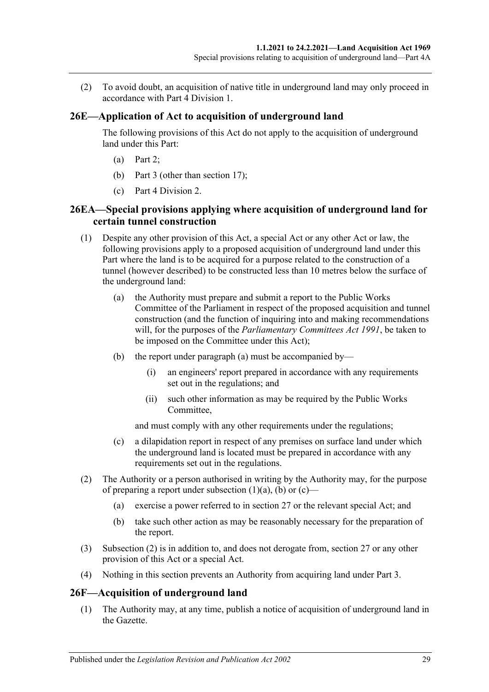(2) To avoid doubt, an acquisition of native title in underground land may only proceed in accordance with [Part 4 Division 1.](#page-12-2)

### <span id="page-28-0"></span>**26E—Application of Act to acquisition of underground land**

The following provisions of this Act do not apply to the acquisition of underground land under this Part:

- (a) [Part 2;](#page-4-3)
- (b) [Part 3](#page-10-0) (other than section 17);
- (c) [Part 4 Division 2.](#page-16-3)

## <span id="page-28-1"></span>**26EA—Special provisions applying where acquisition of underground land for certain tunnel construction**

- <span id="page-28-3"></span>(1) Despite any other provision of this Act, a special Act or any other Act or law, the following provisions apply to a proposed acquisition of underground land under this Part where the land is to be acquired for a purpose related to the construction of a tunnel (however described) to be constructed less than 10 metres below the surface of the underground land:
	- (a) the Authority must prepare and submit a report to the Public Works Committee of the Parliament in respect of the proposed acquisition and tunnel construction (and the function of inquiring into and making recommendations will, for the purposes of the *[Parliamentary Committees Act](http://www.legislation.sa.gov.au/index.aspx?action=legref&type=act&legtitle=Parliamentary%20Committees%20Act%201991) 1991*, be taken to be imposed on the Committee under this Act);
	- (b) the report under [paragraph](#page-28-3) (a) must be accompanied by—
		- (i) an engineers' report prepared in accordance with any requirements set out in the regulations; and
		- (ii) such other information as may be required by the Public Works Committee,

<span id="page-28-4"></span>and must comply with any other requirements under the regulations;

- <span id="page-28-5"></span>(c) a dilapidation report in respect of any premises on surface land under which the underground land is located must be prepared in accordance with any requirements set out in the regulations.
- <span id="page-28-6"></span>(2) The Authority or a person authorised in writing by the Authority may, for the purpose of preparing a report under [subsection](#page-28-3)  $(1)(a)$ ,  $(b)$  or  $(c)$ —
	- (a) exercise a power referred to in [section](#page-31-1) 27 or the relevant special Act; and
	- (b) take such other action as may be reasonably necessary for the preparation of the report.
- (3) [Subsection](#page-28-6) (2) is in addition to, and does not derogate from, [section](#page-31-1) 27 or any other provision of this Act or a special Act.
- (4) Nothing in this section prevents an Authority from acquiring land under [Part 3.](#page-10-0)

### <span id="page-28-2"></span>**26F—Acquisition of underground land**

(1) The Authority may, at any time, publish a notice of acquisition of underground land in the Gazette.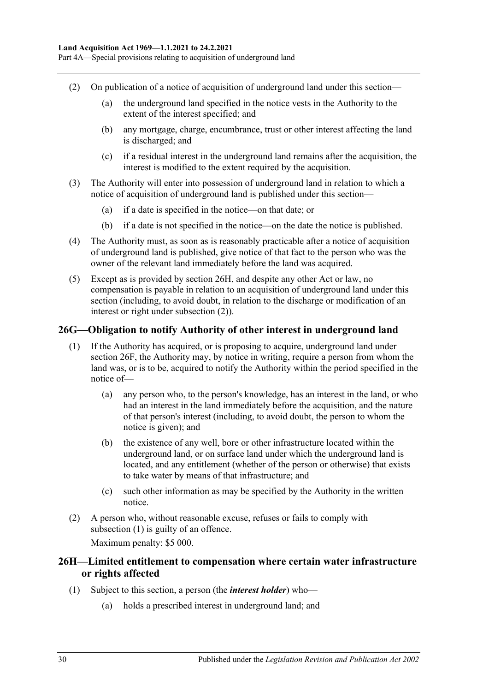- <span id="page-29-2"></span>(2) On publication of a notice of acquisition of underground land under this section—
	- (a) the underground land specified in the notice vests in the Authority to the extent of the interest specified; and
	- (b) any mortgage, charge, encumbrance, trust or other interest affecting the land is discharged; and
	- (c) if a residual interest in the underground land remains after the acquisition, the interest is modified to the extent required by the acquisition.
- (3) The Authority will enter into possession of underground land in relation to which a notice of acquisition of underground land is published under this section—
	- (a) if a date is specified in the notice—on that date; or
	- (b) if a date is not specified in the notice—on the date the notice is published.
- (4) The Authority must, as soon as is reasonably practicable after a notice of acquisition of underground land is published, give notice of that fact to the person who was the owner of the relevant land immediately before the land was acquired.
- (5) Except as is provided by [section](#page-29-1) 26H, and despite any other Act or law, no compensation is payable in relation to an acquisition of underground land under this section (including, to avoid doubt, in relation to the discharge or modification of an interest or right under [subsection](#page-29-2) (2)).

#### <span id="page-29-3"></span><span id="page-29-0"></span>**26G—Obligation to notify Authority of other interest in underground land**

- (1) If the Authority has acquired, or is proposing to acquire, underground land under [section](#page-28-2) 26F, the Authority may, by notice in writing, require a person from whom the land was, or is to be, acquired to notify the Authority within the period specified in the notice of—
	- (a) any person who, to the person's knowledge, has an interest in the land, or who had an interest in the land immediately before the acquisition, and the nature of that person's interest (including, to avoid doubt, the person to whom the notice is given); and
	- (b) the existence of any well, bore or other infrastructure located within the underground land, or on surface land under which the underground land is located, and any entitlement (whether of the person or otherwise) that exists to take water by means of that infrastructure; and
	- (c) such other information as may be specified by the Authority in the written notice.
- (2) A person who, without reasonable excuse, refuses or fails to comply with [subsection](#page-29-3) (1) is guilty of an offence. Maximum penalty: \$5 000.

## <span id="page-29-1"></span>**26H—Limited entitlement to compensation where certain water infrastructure or rights affected**

- (1) Subject to this section, a person (the *interest holder*) who—
	- (a) holds a prescribed interest in underground land; and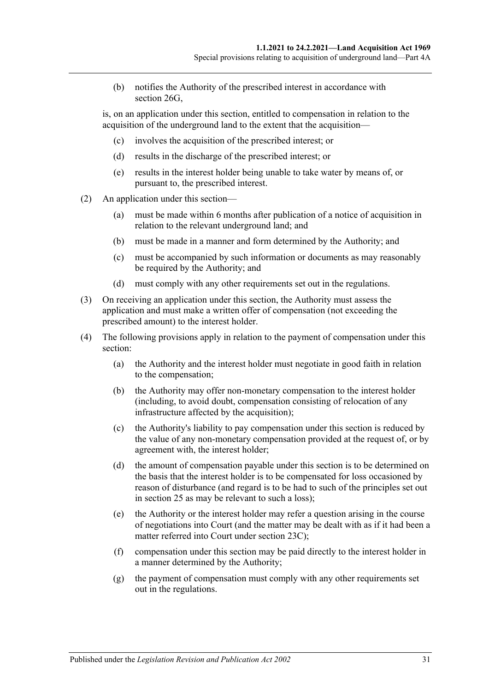(b) notifies the Authority of the prescribed interest in accordance with [section](#page-29-0) 26G.

is, on an application under this section, entitled to compensation in relation to the acquisition of the underground land to the extent that the acquisition—

- (c) involves the acquisition of the prescribed interest; or
- (d) results in the discharge of the prescribed interest; or
- (e) results in the interest holder being unable to take water by means of, or pursuant to, the prescribed interest.
- (2) An application under this section—
	- (a) must be made within 6 months after publication of a notice of acquisition in relation to the relevant underground land; and
	- (b) must be made in a manner and form determined by the Authority; and
	- (c) must be accompanied by such information or documents as may reasonably be required by the Authority; and
	- (d) must comply with any other requirements set out in the regulations.
- (3) On receiving an application under this section, the Authority must assess the application and must make a written offer of compensation (not exceeding the prescribed amount) to the interest holder.
- (4) The following provisions apply in relation to the payment of compensation under this section:
	- (a) the Authority and the interest holder must negotiate in good faith in relation to the compensation;
	- (b) the Authority may offer non-monetary compensation to the interest holder (including, to avoid doubt, compensation consisting of relocation of any infrastructure affected by the acquisition);
	- (c) the Authority's liability to pay compensation under this section is reduced by the value of any non-monetary compensation provided at the request of, or by agreement with, the interest holder;
	- (d) the amount of compensation payable under this section is to be determined on the basis that the interest holder is to be compensated for loss occasioned by reason of disturbance (and regard is to be had to such of the principles set out in [section](#page-23-1) 25 as may be relevant to such a loss);
	- (e) the Authority or the interest holder may refer a question arising in the course of negotiations into Court (and the matter may be dealt with as if it had been a matter referred into Court under [section](#page-21-0) 23C);
	- (f) compensation under this section may be paid directly to the interest holder in a manner determined by the Authority;
	- (g) the payment of compensation must comply with any other requirements set out in the regulations.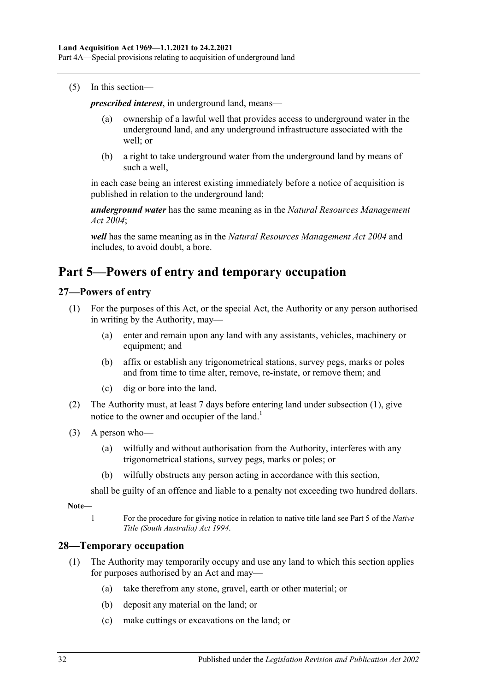#### (5) In this section—

*prescribed interest*, in underground land, means—

- (a) ownership of a lawful well that provides access to underground water in the underground land, and any underground infrastructure associated with the well; or
- (b) a right to take underground water from the underground land by means of such a well,

in each case being an interest existing immediately before a notice of acquisition is published in relation to the underground land;

*underground water* has the same meaning as in the *[Natural Resources Management](http://www.legislation.sa.gov.au/index.aspx?action=legref&type=act&legtitle=Natural%20Resources%20Management%20Act%202004)  Act [2004](http://www.legislation.sa.gov.au/index.aspx?action=legref&type=act&legtitle=Natural%20Resources%20Management%20Act%202004)*;

*well* has the same meaning as in the *[Natural Resources Management Act](http://www.legislation.sa.gov.au/index.aspx?action=legref&type=act&legtitle=Natural%20Resources%20Management%20Act%202004) 2004* and includes, to avoid doubt, a bore.

# <span id="page-31-0"></span>**Part 5—Powers of entry and temporary occupation**

### <span id="page-31-3"></span><span id="page-31-1"></span>**27—Powers of entry**

- (1) For the purposes of this Act, or the special Act, the Authority or any person authorised in writing by the Authority, may—
	- (a) enter and remain upon any land with any assistants, vehicles, machinery or equipment; and
	- (b) affix or establish any trigonometrical stations, survey pegs, marks or poles and from time to time alter, remove, re-instate, or remove them; and
	- (c) dig or bore into the land.
- (2) The Authority must, at least 7 days before entering land under [subsection](#page-31-3) (1), give notice to the owner and occupier of the land.<sup>1</sup>
- (3) A person who—
	- (a) wilfully and without authorisation from the Authority, interferes with any trigonometrical stations, survey pegs, marks or poles; or
	- (b) wilfully obstructs any person acting in accordance with this section,

shall be guilty of an offence and liable to a penalty not exceeding two hundred dollars.

**Note—**

1 For the procedure for giving notice in relation to native title land see Part 5 of the *[Native](http://www.legislation.sa.gov.au/index.aspx?action=legref&type=act&legtitle=Native%20Title%20(South%20Australia)%20Act%201994)  [Title \(South Australia\) Act](http://www.legislation.sa.gov.au/index.aspx?action=legref&type=act&legtitle=Native%20Title%20(South%20Australia)%20Act%201994) 1994*.

### <span id="page-31-4"></span><span id="page-31-2"></span>**28—Temporary occupation**

- <span id="page-31-5"></span>(1) The Authority may temporarily occupy and use any land to which this section applies for purposes authorised by an Act and may—
	- (a) take therefrom any stone, gravel, earth or other material; or
	- (b) deposit any material on the land; or
	- (c) make cuttings or excavations on the land; or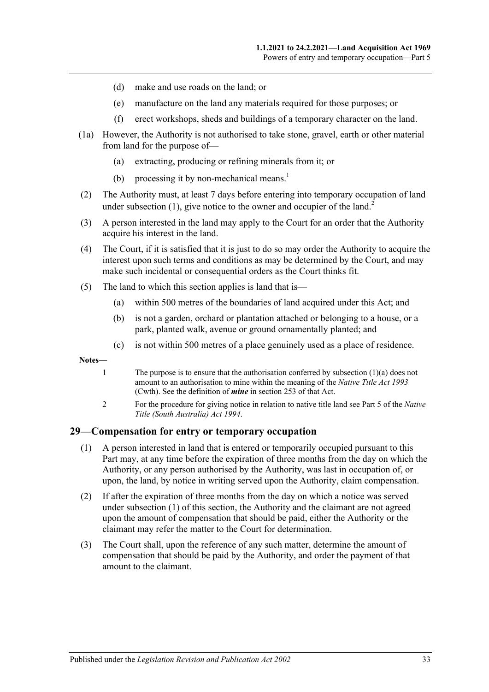- (d) make and use roads on the land; or
- (e) manufacture on the land any materials required for those purposes; or
- (f) erect workshops, sheds and buildings of a temporary character on the land.
- (1a) However, the Authority is not authorised to take stone, gravel, earth or other material from land for the purpose of—
	- (a) extracting, producing or refining minerals from it; or
	- (b) processing it by non-mechanical means.<sup>1</sup>
- (2) The Authority must, at least 7 days before entering into temporary occupation of land under [subsection](#page-31-4)  $(1)$ , give notice to the owner and occupier of the land.<sup>2</sup>
- (3) A person interested in the land may apply to the Court for an order that the Authority acquire his interest in the land.
- (4) The Court, if it is satisfied that it is just to do so may order the Authority to acquire the interest upon such terms and conditions as may be determined by the Court, and may make such incidental or consequential orders as the Court thinks fit.
- (5) The land to which this section applies is land that is—
	- (a) within 500 metres of the boundaries of land acquired under this Act; and
	- (b) is not a garden, orchard or plantation attached or belonging to a house, or a park, planted walk, avenue or ground ornamentally planted; and
	- (c) is not within 500 metres of a place genuinely used as a place of residence.

**Notes—**

- 1 The purpose is to ensure that the authorisation conferred by [subsection](#page-31-5)  $(1)(a)$  does not amount to an authorisation to mine within the meaning of the *Native Title Act 1993* (Cwth). See the definition of *mine* in section 253 of that Act.
- 2 For the procedure for giving notice in relation to native title land see Part 5 of the *[Native](http://www.legislation.sa.gov.au/index.aspx?action=legref&type=act&legtitle=Native%20Title%20(South%20Australia)%20Act%201994)  [Title \(South Australia\) Act](http://www.legislation.sa.gov.au/index.aspx?action=legref&type=act&legtitle=Native%20Title%20(South%20Australia)%20Act%201994) 1994*.

#### <span id="page-32-1"></span><span id="page-32-0"></span>**29—Compensation for entry or temporary occupation**

- (1) A person interested in land that is entered or temporarily occupied pursuant to this Part may, at any time before the expiration of three months from the day on which the Authority, or any person authorised by the Authority, was last in occupation of, or upon, the land, by notice in writing served upon the Authority, claim compensation.
- (2) If after the expiration of three months from the day on which a notice was served under [subsection](#page-32-1) (1) of this section, the Authority and the claimant are not agreed upon the amount of compensation that should be paid, either the Authority or the claimant may refer the matter to the Court for determination.
- (3) The Court shall, upon the reference of any such matter, determine the amount of compensation that should be paid by the Authority, and order the payment of that amount to the claimant.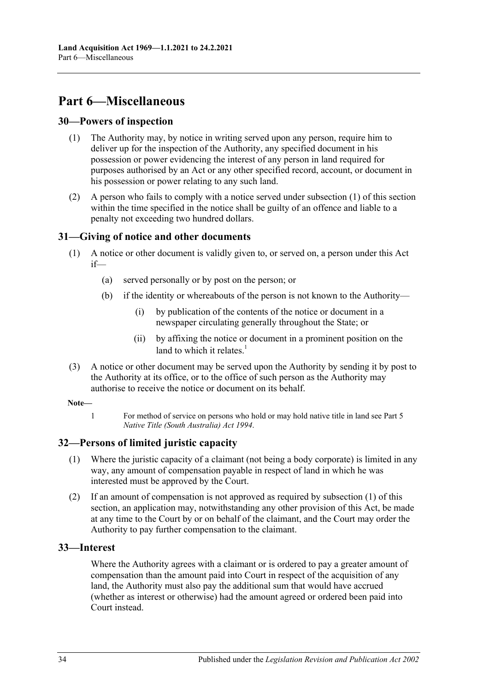# <span id="page-33-0"></span>**Part 6—Miscellaneous**

#### <span id="page-33-5"></span><span id="page-33-1"></span>**30—Powers of inspection**

- (1) The Authority may, by notice in writing served upon any person, require him to deliver up for the inspection of the Authority, any specified document in his possession or power evidencing the interest of any person in land required for purposes authorised by an Act or any other specified record, account, or document in his possession or power relating to any such land.
- (2) A person who fails to comply with a notice served under [subsection](#page-33-5) (1) of this section within the time specified in the notice shall be guilty of an offence and liable to a penalty not exceeding two hundred dollars.

### <span id="page-33-2"></span>**31—Giving of notice and other documents**

- (1) A notice or other document is validly given to, or served on, a person under this Act if—
	- (a) served personally or by post on the person; or
	- (b) if the identity or whereabouts of the person is not known to the Authority—
		- (i) by publication of the contents of the notice or document in a newspaper circulating generally throughout the State; or
		- (ii) by affixing the notice or document in a prominent position on the land to which it relates. $\frac{1}{1}$
- (3) A notice or other document may be served upon the Authority by sending it by post to the Authority at its office, or to the office of such person as the Authority may authorise to receive the notice or document on its behalf.

#### **Note—**

1 For method of service on persons who hold or may hold native title in land see Part 5 *[Native Title \(South Australia\) Act](http://www.legislation.sa.gov.au/index.aspx?action=legref&type=act&legtitle=Native%20Title%20(South%20Australia)%20Act%201994) 1994*.

### <span id="page-33-6"></span><span id="page-33-3"></span>**32—Persons of limited juristic capacity**

- (1) Where the juristic capacity of a claimant (not being a body corporate) is limited in any way, any amount of compensation payable in respect of land in which he was interested must be approved by the Court.
- (2) If an amount of compensation is not approved as required by [subsection](#page-33-6) (1) of this section, an application may, notwithstanding any other provision of this Act, be made at any time to the Court by or on behalf of the claimant, and the Court may order the Authority to pay further compensation to the claimant.

### <span id="page-33-4"></span>**33—Interest**

Where the Authority agrees with a claimant or is ordered to pay a greater amount of compensation than the amount paid into Court in respect of the acquisition of any land, the Authority must also pay the additional sum that would have accrued (whether as interest or otherwise) had the amount agreed or ordered been paid into Court instead.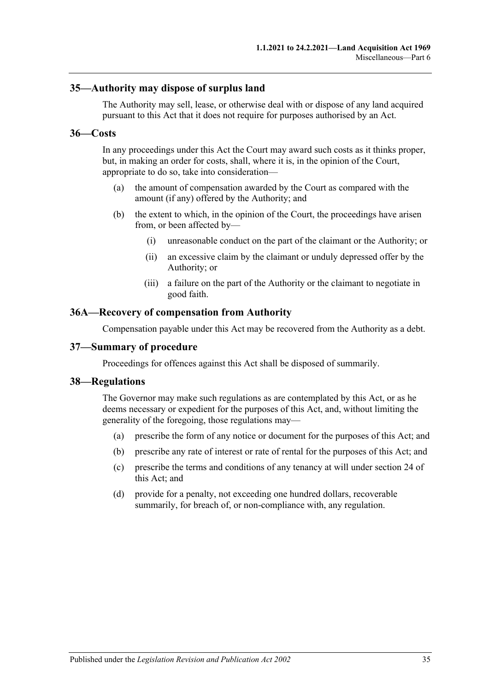#### <span id="page-34-0"></span>**35—Authority may dispose of surplus land**

The Authority may sell, lease, or otherwise deal with or dispose of any land acquired pursuant to this Act that it does not require for purposes authorised by an Act.

#### <span id="page-34-1"></span>**36—Costs**

In any proceedings under this Act the Court may award such costs as it thinks proper, but, in making an order for costs, shall, where it is, in the opinion of the Court, appropriate to do so, take into consideration—

- (a) the amount of compensation awarded by the Court as compared with the amount (if any) offered by the Authority; and
- (b) the extent to which, in the opinion of the Court, the proceedings have arisen from, or been affected by—
	- (i) unreasonable conduct on the part of the claimant or the Authority; or
	- (ii) an excessive claim by the claimant or unduly depressed offer by the Authority; or
	- (iii) a failure on the part of the Authority or the claimant to negotiate in good faith.

#### <span id="page-34-2"></span>**36A—Recovery of compensation from Authority**

Compensation payable under this Act may be recovered from the Authority as a debt.

#### <span id="page-34-3"></span>**37—Summary of procedure**

Proceedings for offences against this Act shall be disposed of summarily.

#### <span id="page-34-4"></span>**38—Regulations**

The Governor may make such regulations as are contemplated by this Act, or as he deems necessary or expedient for the purposes of this Act, and, without limiting the generality of the foregoing, those regulations may—

- (a) prescribe the form of any notice or document for the purposes of this Act; and
- (b) prescribe any rate of interest or rate of rental for the purposes of this Act; and
- (c) prescribe the terms and conditions of any tenancy at will under section 24 of this Act; and
- (d) provide for a penalty, not exceeding one hundred dollars, recoverable summarily, for breach of, or non-compliance with, any regulation.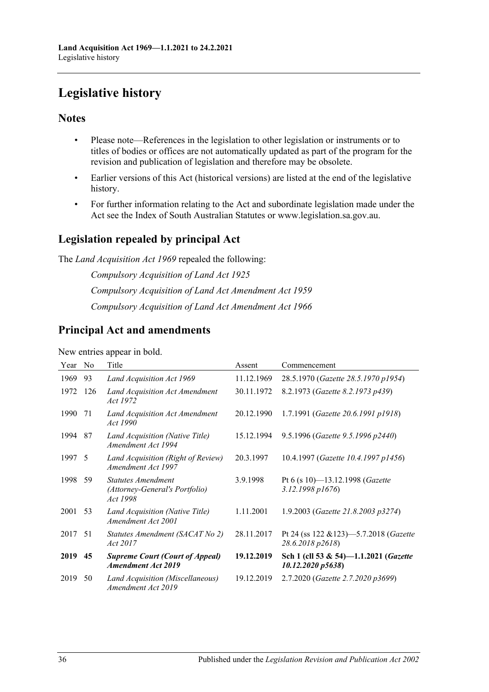# <span id="page-35-0"></span>**Legislative history**

## **Notes**

- Please note—References in the legislation to other legislation or instruments or to titles of bodies or offices are not automatically updated as part of the program for the revision and publication of legislation and therefore may be obsolete.
- Earlier versions of this Act (historical versions) are listed at the end of the legislative history.
- For further information relating to the Act and subordinate legislation made under the Act see the Index of South Australian Statutes or www.legislation.sa.gov.au.

## **Legislation repealed by principal Act**

The *Land Acquisition Act 1969* repealed the following:

*Compulsory Acquisition of Land Act 1925 Compulsory Acquisition of Land Act Amendment Act 1959 Compulsory Acquisition of Land Act Amendment Act 1966*

## **Principal Act and amendments**

New entries appear in bold.

| Year | N <sub>0</sub> | Title                                                                   | Assent     | Commencement                                                       |
|------|----------------|-------------------------------------------------------------------------|------------|--------------------------------------------------------------------|
| 1969 | 93             | Land Acquisition Act 1969                                               | 11.12.1969 | 28.5.1970 (Gazette 28.5.1970 p1954)                                |
| 1972 | 126            | Land Acquisition Act Amendment<br>Act 1972                              | 30.11.1972 | 8.2.1973 (Gazette 8.2.1973 p439)                                   |
| 1990 | 71             | Land Acquisition Act Amendment<br>Act 1990                              | 20.12.1990 | 1.7.1991 (Gazette 20.6.1991 p1918)                                 |
| 1994 | 87             | Land Acquisition (Native Title)<br>Amendment Act 1994                   | 15.12.1994 | 9.5.1996 (Gazette 9.5.1996 p2440)                                  |
| 1997 | - 5            | Land Acquisition (Right of Review)<br>Amendment Act 1997                | 20.3.1997  | 10.4.1997 (Gazette 10.4.1997 p1456)                                |
| 1998 | 59             | <b>Statutes Amendment</b><br>(Attorney-General's Portfolio)<br>Act 1998 | 3.9.1998   | Pt 6 (s 10)-13.12.1998 (Gazette<br>$3.12.1998\,p1676$              |
| 2001 | 53             | Land Acquisition (Native Title)<br>Amendment Act 2001                   | 1.11.2001  | 1.9.2003 (Gazette 21.8.2003 p3274)                                 |
| 2017 | 51             | Statutes Amendment (SACAT No 2)<br>Act 2017                             | 28.11.2017 | Pt 24 (ss 122 & 123)-5.7.2018 (Gazette<br>28.6.2018 p2618)         |
| 2019 | 45             | <b>Supreme Court (Court of Appeal)</b><br><b>Amendment Act 2019</b>     | 19.12.2019 | Sch 1 (cll 53 & 54)—1.1.2021 ( <i>Gazette</i><br>10.12.2020 p5638) |
| 2019 | 50             | Land Acquisition (Miscellaneous)<br>Amendment Act 2019                  | 19.12.2019 | 2.7.2020 (Gazette 2.7.2020 p3699)                                  |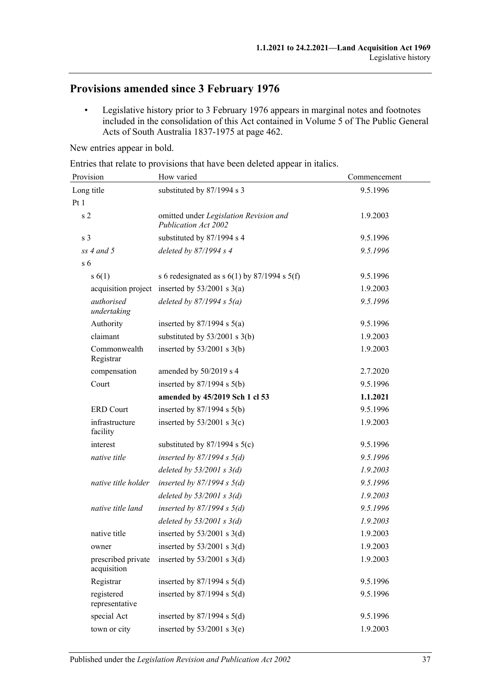# **Provisions amended since 3 February 1976**

• Legislative history prior to 3 February 1976 appears in marginal notes and footnotes included in the consolidation of this Act contained in Volume 5 of The Public General Acts of South Australia 1837-1975 at page 462.

New entries appear in bold.

Entries that relate to provisions that have been deleted appear in italics.

| Provision                         | How varied                                                     | Commencement |  |
|-----------------------------------|----------------------------------------------------------------|--------------|--|
| Long title                        | substituted by 87/1994 s 3                                     | 9.5.1996     |  |
| Pt1                               |                                                                |              |  |
| s <sub>2</sub>                    | omitted under Legislation Revision and<br>Publication Act 2002 | 1.9.2003     |  |
| s <sub>3</sub>                    | substituted by 87/1994 s 4                                     | 9.5.1996     |  |
| $ss$ 4 and 5                      | deleted by $87/1994 s 4$                                       | 9.5.1996     |  |
| s <sub>6</sub>                    |                                                                |              |  |
| s(6(1))                           | s 6 redesignated as s $6(1)$ by 87/1994 s $5(f)$               | 9.5.1996     |  |
|                                   | acquisition project inserted by $53/2001$ s $3(a)$             | 1.9.2003     |  |
| authorised<br>undertaking         | deleted by $87/1994 s 5(a)$                                    | 9.5.1996     |  |
| Authority                         | inserted by $87/1994$ s $5(a)$                                 | 9.5.1996     |  |
| claimant                          | substituted by $53/2001$ s 3(b)                                | 1.9.2003     |  |
| Commonwealth<br>Registrar         | inserted by $53/2001$ s 3(b)                                   | 1.9.2003     |  |
| compensation                      | amended by 50/2019 s 4                                         | 2.7.2020     |  |
| Court                             | inserted by $87/1994$ s $5(b)$                                 | 9.5.1996     |  |
|                                   | amended by 45/2019 Sch 1 cl 53                                 | 1.1.2021     |  |
| <b>ERD</b> Court                  | inserted by $87/1994$ s $5(b)$                                 | 9.5.1996     |  |
| infrastructure<br>facility        | inserted by $53/2001$ s 3(c)                                   | 1.9.2003     |  |
| interest                          | substituted by $87/1994$ s $5(c)$                              | 9.5.1996     |  |
| native title                      | inserted by $87/1994 s 5(d)$                                   | 9.5.1996     |  |
|                                   | deleted by $53/2001$ s $3(d)$                                  | 1.9.2003     |  |
| native title holder               | inserted by $87/1994 s 5(d)$                                   | 9.5.1996     |  |
|                                   | deleted by $53/2001$ s $3(d)$                                  | 1.9.2003     |  |
| native title land                 | inserted by $87/1994 s 5(d)$                                   | 9.5.1996     |  |
|                                   | deleted by $53/2001$ s $3(d)$                                  | 1.9.2003     |  |
| native title                      | inserted by $53/2001$ s $3(d)$                                 | 1.9.2003     |  |
| owner                             | inserted by $53/2001$ s 3(d)                                   | 1.9.2003     |  |
| prescribed private<br>acquisition | inserted by $53/2001$ s 3(d)                                   | 1.9.2003     |  |
| Registrar                         | inserted by $87/1994$ s $5(d)$                                 | 9.5.1996     |  |
| registered<br>representative      | inserted by $87/1994$ s $5(d)$                                 | 9.5.1996     |  |
| special Act                       | inserted by $87/1994$ s $5(d)$                                 | 9.5.1996     |  |
| town or city                      | inserted by $53/2001$ s 3(e)                                   | 1.9.2003     |  |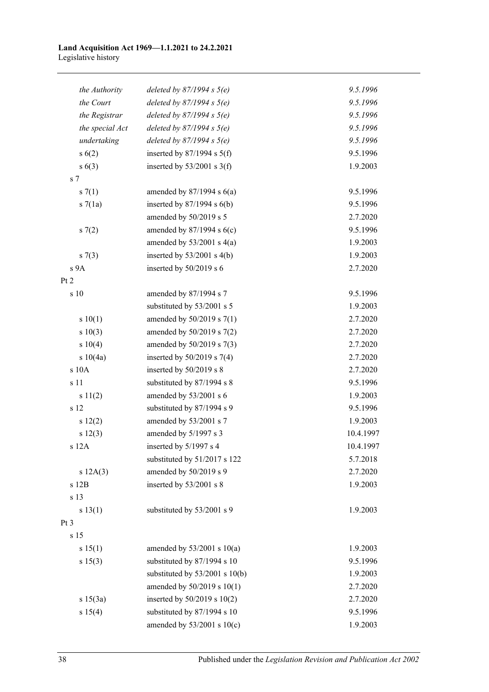#### **Land Acquisition Act 1969—1.1.2021 to 24.2.2021** Legislative history

| the Authority   | deleted by $87/1994$ s $5(e)$      | 9.5.1996  |
|-----------------|------------------------------------|-----------|
| the Court       | deleted by $87/1994 s 5(e)$        | 9.5.1996  |
| the Registrar   | deleted by $87/1994 s 5(e)$        | 9.5.1996  |
| the special Act | deleted by $87/1994 s 5(e)$        | 9.5.1996  |
| undertaking     | deleted by $87/1994 s 5(e)$        | 9.5.1996  |
| s(6(2))         | inserted by $87/1994$ s $5(f)$     | 9.5.1996  |
| s(6(3))         | inserted by $53/2001$ s 3(f)       | 1.9.2003  |
| s <sub>7</sub>  |                                    |           |
| s(7(1))         | amended by $87/1994$ s $6(a)$      | 9.5.1996  |
| s7(1a)          | inserted by $87/1994$ s $6(b)$     | 9.5.1996  |
|                 | amended by 50/2019 s 5             | 2.7.2020  |
| s(7(2)          | amended by $87/1994$ s $6(c)$      | 9.5.1996  |
|                 | amended by $53/2001$ s $4(a)$      | 1.9.2003  |
| s(7(3))         | inserted by $53/2001$ s 4(b)       | 1.9.2003  |
| s 9A            | inserted by 50/2019 s 6            | 2.7.2020  |
| Pt 2            |                                    |           |
| s 10            | amended by 87/1994 s 7             | 9.5.1996  |
|                 | substituted by 53/2001 s 5         | 1.9.2003  |
| s 10(1)         | amended by 50/2019 s 7(1)          | 2.7.2020  |
| s 10(3)         | amended by 50/2019 s 7(2)          | 2.7.2020  |
| s 10(4)         | amended by 50/2019 s 7(3)          | 2.7.2020  |
| s 10(4a)        | inserted by $50/2019$ s $7(4)$     | 2.7.2020  |
| s 10A           | inserted by 50/2019 s 8            | 2.7.2020  |
| s 11            | substituted by 87/1994 s 8         | 9.5.1996  |
| s 11(2)         | amended by 53/2001 s 6             | 1.9.2003  |
| s 12            | substituted by 87/1994 s 9         | 9.5.1996  |
| s 12(2)         | amended by 53/2001 s 7             | 1.9.2003  |
| s 12(3)         | amended by 5/1997 s 3              | 10.4.1997 |
| s 12A           | inserted by 5/1997 s 4             | 10.4.1997 |
|                 | substituted by 51/2017 s 122       | 5.7.2018  |
| s 12A(3)        | amended by 50/2019 s 9             | 2.7.2020  |
| s 12B           | inserted by 53/2001 s 8            | 1.9.2003  |
| s 13            |                                    |           |
| s 13(1)         | substituted by 53/2001 s 9         | 1.9.2003  |
| Pt 3            |                                    |           |
| s 15            |                                    |           |
| s 15(1)         | amended by $53/2001$ s $10(a)$     | 1.9.2003  |
| s 15(3)         | substituted by 87/1994 s 10        | 9.5.1996  |
|                 | substituted by $53/2001$ s $10(b)$ | 1.9.2003  |
|                 | amended by 50/2019 s 10(1)         | 2.7.2020  |
| s 15(3a)        | inserted by 50/2019 s 10(2)        | 2.7.2020  |
| s 15(4)         | substituted by 87/1994 s 10        | 9.5.1996  |
|                 | amended by $53/2001$ s $10(c)$     | 1.9.2003  |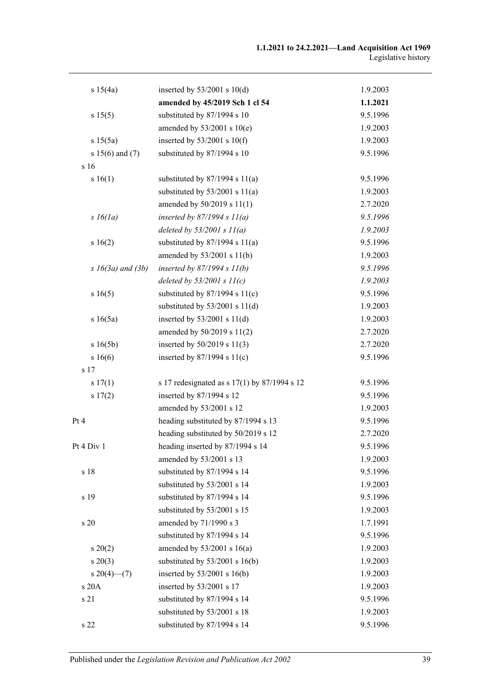| s 15(4a)                 | inserted by $53/2001$ s $10(d)$              | 1.9.2003 |
|--------------------------|----------------------------------------------|----------|
|                          | amended by 45/2019 Sch 1 cl 54               | 1.1.2021 |
| s 15(5)                  | substituted by 87/1994 s 10                  | 9.5.1996 |
|                          | amended by $53/2001$ s $10(e)$               | 1.9.2003 |
| s 15(5a)                 | inserted by $53/2001$ s $10(f)$              | 1.9.2003 |
| s $15(6)$ and $(7)$      | substituted by 87/1994 s 10                  | 9.5.1996 |
| s 16                     |                                              |          |
| s 16(1)                  | substituted by $87/1994$ s $11(a)$           | 9.5.1996 |
|                          | substituted by $53/2001$ s $11(a)$           | 1.9.2003 |
|                          | amended by 50/2019 s 11(1)                   | 2.7.2020 |
| $s\,16(1a)$              | inserted by $87/1994 s 11(a)$                | 9.5.1996 |
|                          | deleted by $53/2001 s 11(a)$                 | 1.9.2003 |
| s 16(2)                  | substituted by $87/1994$ s $11(a)$           | 9.5.1996 |
|                          | amended by 53/2001 s 11(b)                   | 1.9.2003 |
| $s \; 16(3a)$ and $(3b)$ | inserted by $87/1994 s 11(b)$                | 9.5.1996 |
|                          | deleted by $53/2001 s 11(c)$                 | 1.9.2003 |
| s16(5)                   | substituted by $87/1994$ s $11(c)$           | 9.5.1996 |
|                          | substituted by $53/2001$ s $11(d)$           | 1.9.2003 |
| s 16(5a)                 | inserted by $53/2001$ s $11(d)$              | 1.9.2003 |
|                          | amended by 50/2019 s 11(2)                   | 2.7.2020 |
| s 16(5b)                 | inserted by 50/2019 s 11(3)                  | 2.7.2020 |
| s 16(6)                  | inserted by $87/1994$ s $11(c)$              | 9.5.1996 |
| s 17                     |                                              |          |
| s 17(1)                  | s 17 redesignated as s 17(1) by 87/1994 s 12 | 9.5.1996 |
| s 17(2)                  | inserted by 87/1994 s 12                     | 9.5.1996 |
|                          | amended by 53/2001 s 12                      | 1.9.2003 |
| Pt 4                     | heading substituted by 87/1994 s 13          | 9.5.1996 |
|                          | heading substituted by 50/2019 s 12          | 2.7.2020 |
| Pt 4 Div 1               | heading inserted by 87/1994 s 14             | 9.5.1996 |
|                          | amended by 53/2001 s 13                      | 1.9.2003 |
| s 18                     | substituted by 87/1994 s 14                  | 9.5.1996 |
|                          | substituted by 53/2001 s 14                  | 1.9.2003 |
| s 19                     | substituted by 87/1994 s 14                  | 9.5.1996 |
|                          | substituted by 53/2001 s 15                  | 1.9.2003 |
| s 20                     | amended by 71/1990 s 3                       | 1.7.1991 |
|                          | substituted by 87/1994 s 14                  | 9.5.1996 |
| $s \ 20(2)$              | amended by $53/2001$ s $16(a)$               | 1.9.2003 |
| $s \ 20(3)$              | substituted by $53/2001$ s $16(b)$           | 1.9.2003 |
| $s \, 20(4)$ (7)         | inserted by $53/2001$ s 16(b)                | 1.9.2003 |
| s 20A                    | inserted by 53/2001 s 17                     | 1.9.2003 |
| s 21                     | substituted by 87/1994 s 14                  | 9.5.1996 |
|                          | substituted by 53/2001 s 18                  | 1.9.2003 |
| s 22                     | substituted by 87/1994 s 14                  | 9.5.1996 |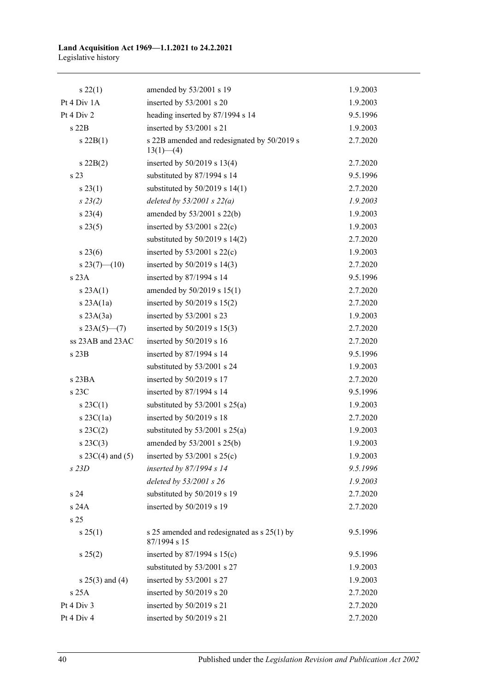#### **Land Acquisition Act 1969—1.1.2021 to 24.2.2021** Legislative history

| $s\,22(1)$           | amended by 53/2001 s 19                                     | 1.9.2003 |
|----------------------|-------------------------------------------------------------|----------|
| Pt 4 Div 1A          | inserted by 53/2001 s 20                                    | 1.9.2003 |
| Pt 4 Div 2           | heading inserted by 87/1994 s 14                            | 9.5.1996 |
| s 22B                | inserted by 53/2001 s 21                                    | 1.9.2003 |
| $s$ 22B(1)           | s 22B amended and redesignated by 50/2019 s<br>$13(1)$ (4)  | 2.7.2020 |
| $s\ 22B(2)$          | inserted by $50/2019$ s $13(4)$                             | 2.7.2020 |
| s 23                 | substituted by 87/1994 s 14                                 | 9.5.1996 |
| s 23(1)              | substituted by $50/2019$ s $14(1)$                          | 2.7.2020 |
| $s\,23(2)$           | deleted by $53/2001$ s $22(a)$                              | 1.9.2003 |
| $s\,23(4)$           | amended by 53/2001 s 22(b)                                  | 1.9.2003 |
| s 23(5)              | inserted by $53/2001$ s $22(c)$                             | 1.9.2003 |
|                      | substituted by $50/2019$ s $14(2)$                          | 2.7.2020 |
| $s\,23(6)$           | inserted by $53/2001$ s $22(c)$                             | 1.9.2003 |
| $s\,23(7)$ (10)      | inserted by $50/2019$ s $14(3)$                             | 2.7.2020 |
| s23A                 | inserted by 87/1994 s 14                                    | 9.5.1996 |
| s 23A(1)             | amended by 50/2019 s 15(1)                                  | 2.7.2020 |
| $s$ 23A(1a)          | inserted by $50/2019$ s $15(2)$                             | 2.7.2020 |
| $s$ 23A $(3a)$       | inserted by 53/2001 s 23                                    | 1.9.2003 |
| s $23A(5)$ - (7)     | inserted by $50/2019$ s $15(3)$                             | 2.7.2020 |
| ss 23AB and 23AC     | inserted by 50/2019 s 16                                    | 2.7.2020 |
| s 23B                | inserted by 87/1994 s 14                                    | 9.5.1996 |
|                      | substituted by 53/2001 s 24                                 | 1.9.2003 |
| s 23BA               | inserted by $50/2019$ s 17                                  | 2.7.2020 |
| s 23C                | inserted by 87/1994 s 14                                    | 9.5.1996 |
| $s \, 23C(1)$        | substituted by $53/2001$ s $25(a)$                          | 1.9.2003 |
| $s$ 23C(1a)          | inserted by 50/2019 s 18                                    | 2.7.2020 |
| $s \, 23C(2)$        | substituted by $53/2001$ s $25(a)$                          | 1.9.2003 |
| $s \, 23C(3)$        | amended by 53/2001 s 25(b)                                  | 1.9.2003 |
| s $23C(4)$ and $(5)$ | inserted by $53/2001$ s $25(c)$                             | 1.9.2003 |
| $s$ 23D              | inserted by 87/1994 s 14                                    | 9.5.1996 |
|                      | deleted by 53/2001 s 26                                     | 1.9.2003 |
| s 24                 | substituted by 50/2019 s 19                                 | 2.7.2020 |
| s 24A                | inserted by 50/2019 s 19                                    | 2.7.2020 |
| s 25                 |                                                             |          |
| s 25(1)              | s 25 amended and redesignated as s 25(1) by<br>87/1994 s 15 | 9.5.1996 |
| s 25(2)              | inserted by $87/1994$ s $15(c)$                             | 9.5.1996 |
|                      | substituted by 53/2001 s 27                                 | 1.9.2003 |
| $s \; 25(3)$ and (4) | inserted by 53/2001 s 27                                    | 1.9.2003 |
| s 25A                | inserted by 50/2019 s 20                                    | 2.7.2020 |
| Pt 4 Div 3           | inserted by 50/2019 s 21                                    | 2.7.2020 |
| Pt 4 Div 4           | inserted by 50/2019 s 21                                    | 2.7.2020 |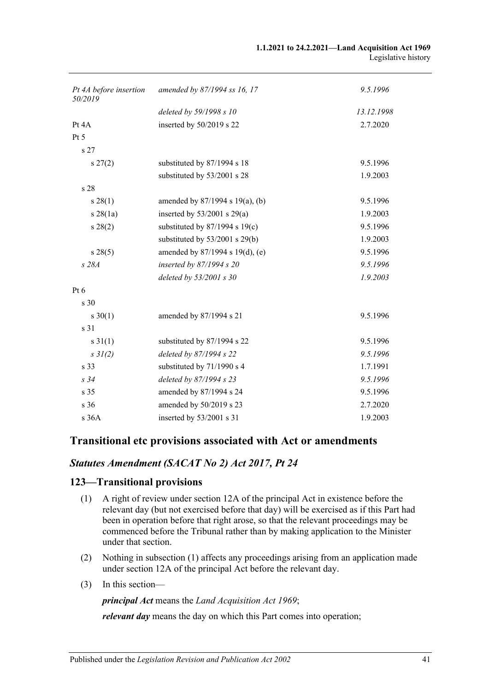| Pt 4A before insertion<br>50/2019 | amended by 87/1994 ss 16, 17       | 9.5.1996   |
|-----------------------------------|------------------------------------|------------|
|                                   | deleted by 59/1998 s 10            | 13.12.1998 |
| Pt $4A$                           | inserted by 50/2019 s 22           | 2.7.2020   |
| Pt 5                              |                                    |            |
| s 27                              |                                    |            |
| $s \, 27(2)$                      | substituted by 87/1994 s 18        | 9.5.1996   |
|                                   | substituted by 53/2001 s 28        | 1.9.2003   |
| s 28                              |                                    |            |
| s 28(1)                           | amended by 87/1994 s 19(a), (b)    | 9.5.1996   |
| $s \, 28(1a)$                     | inserted by $53/2001$ s $29(a)$    | 1.9.2003   |
| s 28(2)                           | substituted by $87/1994$ s $19(c)$ | 9.5.1996   |
|                                   | substituted by $53/2001$ s $29(b)$ | 1.9.2003   |
| s 28(5)                           | amended by 87/1994 s 19(d), (e)    | 9.5.1996   |
| s 28A                             | inserted by 87/1994 s 20           | 9.5.1996   |
|                                   | deleted by $53/2001$ s 30          | 1.9.2003   |
| Pt <sub>6</sub>                   |                                    |            |
| s 30                              |                                    |            |
| $s \ 30(1)$                       | amended by 87/1994 s 21            | 9.5.1996   |
| s 31                              |                                    |            |
| $s \, 31(1)$                      | substituted by 87/1994 s 22        | 9.5.1996   |
| $s \frac{3}{2}$ (2)               | deleted by 87/1994 s 22            | 9.5.1996   |
| s 33                              | substituted by 71/1990 s 4         | 1.7.1991   |
| s34                               | deleted by 87/1994 s 23            | 9.5.1996   |
| s 35                              | amended by 87/1994 s 24            | 9.5.1996   |
| s <sub>36</sub>                   | amended by 50/2019 s 23            | 2.7.2020   |
| s 36A                             | inserted by 53/2001 s 31           | 1.9.2003   |

## **Transitional etc provisions associated with Act or amendments**

## *Statutes Amendment (SACAT No 2) Act 2017, Pt 24*

### <span id="page-40-0"></span>**123—Transitional provisions**

- (1) A right of review under section 12A of the principal Act in existence before the relevant day (but not exercised before that day) will be exercised as if this Part had been in operation before that right arose, so that the relevant proceedings may be commenced before the Tribunal rather than by making application to the Minister under that section.
- (2) Nothing in [subsection](#page-40-0) (1) affects any proceedings arising from an application made under section 12A of the principal Act before the relevant day.
- (3) In this section—

*principal Act* means the *[Land Acquisition Act](http://www.legislation.sa.gov.au/index.aspx?action=legref&type=act&legtitle=Land%20Acquisition%20Act%201969) 1969*;

*relevant day* means the day on which this Part comes into operation;